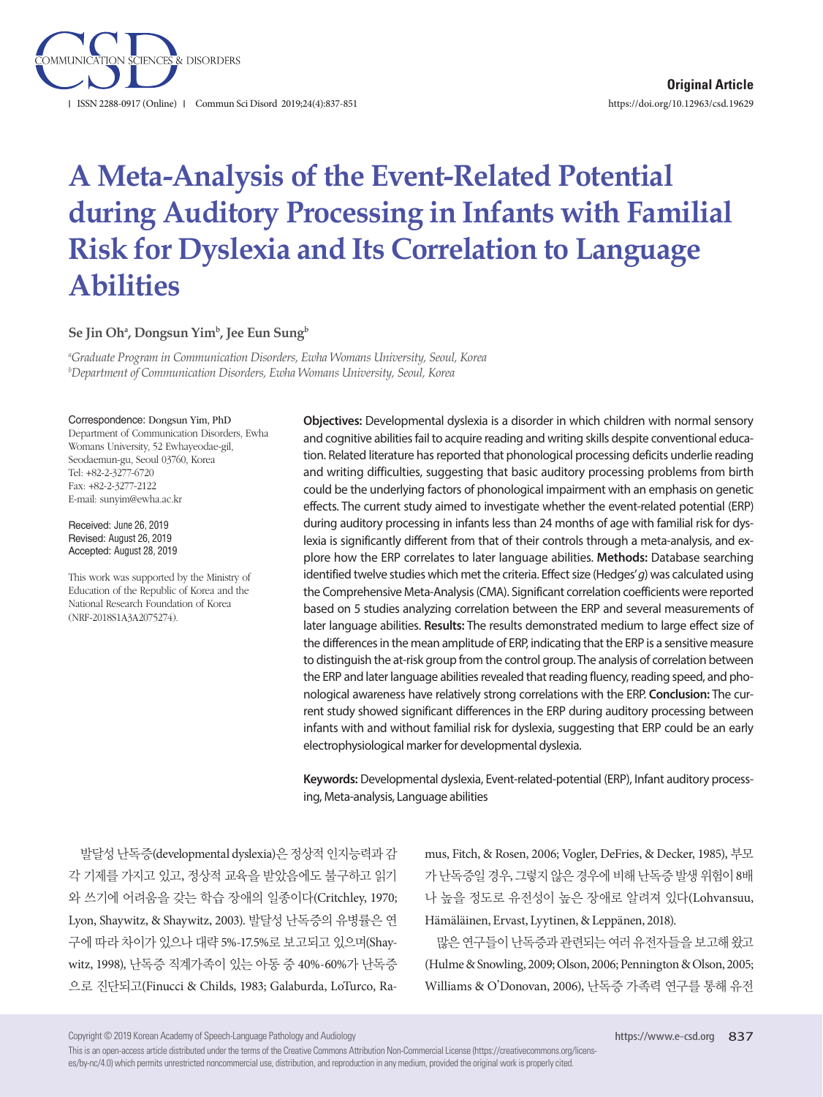

# **A Meta-Analysis of the Event-Related Potential during Auditory Processing in Infants with Familial Risk for Dyslexia and Its Correlation to Language Abilities**

#### ${\mathsf S}$ e Jin Ohª, Dongsun Yim<sup>b</sup>, Jee Eun Sung<sup>b</sup>

*a Graduate Program in Communication Disorders, Ewha Womans University, Seoul, Korea b Department of Communication Disorders, Ewha Womans University, Seoul, Korea*

#### Correspondence: Dongsun Yim, PhD

Department of Communication Disorders, Ewha Womans University, 52 Ewhayeodae-gil, Seodaemun-gu, Seoul 03760, Korea Tel: +82-2-3277-6720 Fax: +82-2-3277-2122 E-mail: sunyim@ewha.ac.kr

Received: June 26, 2019 Revised: August 26, 2019 Accepted: August 28, 2019

This work was supported by the Ministry of Education of the Republic of Korea and the National Research Foundation of Korea (NRF-2018S1A3A2075274).

**Objectives:** Developmental dyslexia is a disorder in which children with normal sensory and cognitive abilities fail to acquire reading and writing skills despite conventional education. Related literature has reported that phonological processing deficits underlie reading and writing difficulties, suggesting that basic auditory processing problems from birth could be the underlying factors of phonological impairment with an emphasis on genetic effects. The current study aimed to investigate whether the event-related potential (ERP) during auditory processing in infants less than 24 months of age with familial risk for dyslexia is significantly different from that of their controls through a meta-analysis, and explore how the ERP correlates to later language abilities. **Methods:** Database searching identified twelve studies which met the criteria. Effect size (Hedges' *g*) was calculated using the Comprehensive Meta-Analysis (CMA). Significant correlation coefficients were reported based on 5 studies analyzing correlation between the ERP and several measurements of later language abilities. **Results:** The results demonstrated medium to large effect size of the differences in the mean amplitude of ERP, indicating that the ERP is a sensitive measure to distinguish the at-risk group from the control group. The analysis of correlation between the ERP and later language abilities revealed that reading fluency, reading speed, and phonological awareness have relatively strong correlations with the ERP. **Conclusion:** The current study showed significant differences in the ERP during auditory processing between infants with and without familial risk for dyslexia, suggesting that ERP could be an early electrophysiological marker for developmental dyslexia.

**Keywords:** Developmental dyslexia, Event-related-potential (ERP), Infant auditory processing, Meta-analysis, Language abilities

발달성난독증(developmental dyslexia)은 정상적 인지능력과 감 각 기제를 가지고 있고, 정상적 교육을 받았음에도 불구하고 읽기 와 쓰기에 어려움을 갖는 학습 장애의 일종이다(Critchley, 1970; Lyon, Shaywitz, & Shaywitz, 2003). 발달성 난독증의 유병률은 연 구에 따라 차이가 있으나 대략 5%-17.5%로 보고되고 있으며(Shaywitz, 1998), 난독증 직계가족이 있는 아동 중 40%-60%가 난독증 으로 진단되고(Finucci & Childs, 1983; Galaburda, LoTurco, Ra-

mus, Fitch, & Rosen, 2006; Vogler, DeFries, & Decker, 1985), 부모 가난독증일경우, 그렇지않은경우에비해난독증발생위험이 8배 나 높을 정도로 유전성이 높은 장애로 알려져 있다(Lohvansuu, Hämäläinen, Ervast, Lyytinen, & Leppänen, 2018).

많은연구들이난독증과관련되는여러유전자들을보고해왔고 (Hulme & Snowling, 2009; Olson, 2006; Pennington & Olson, 2005; Williams & O'Donovan, 2006), 난독증 가족력 연구를 통해 유전

Copyright © 2019 Korean Academy of Speech-Language Pathology and Audiology

This is an open-access article distributed under the terms of the Creative Commons Attribution Non-Commercial License (https://creativecommons.org/licenses/by-nc/4.0) which permits unrestricted noncommercial use, distribution, and reproduction in any medium, provided the original work is properly cited.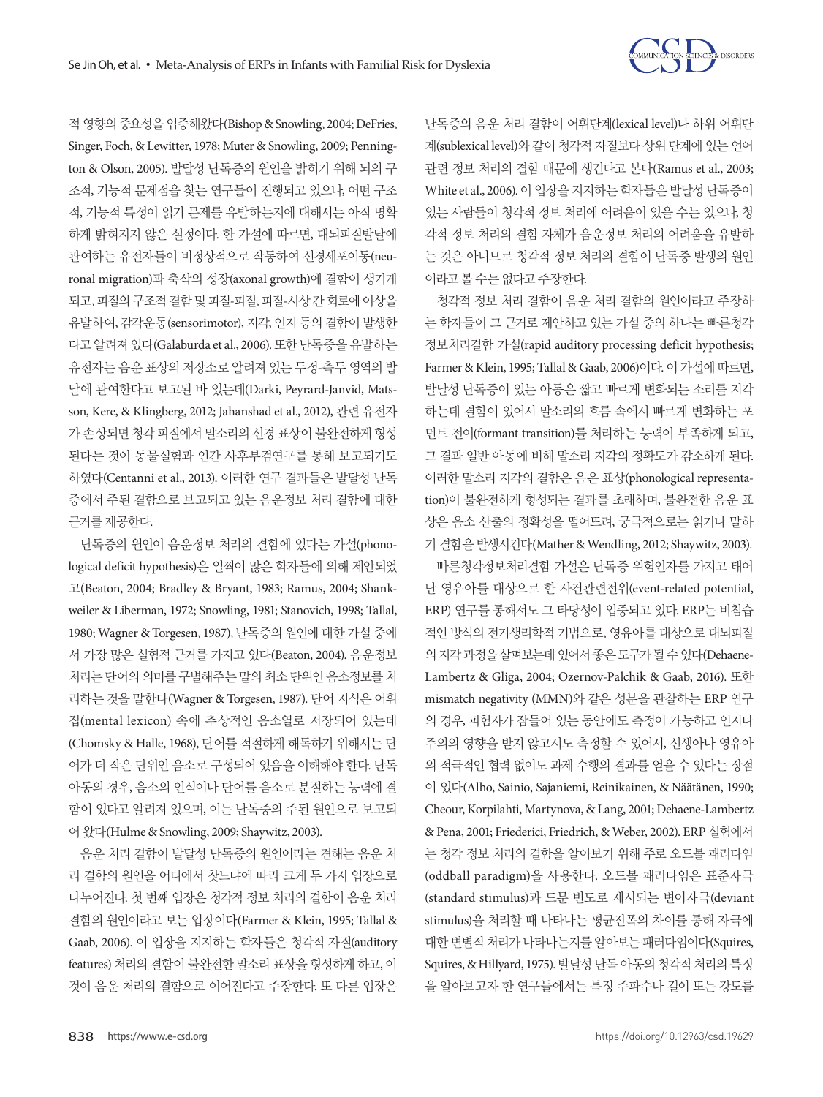

적영향의중요성을입증해왔다(Bishop & Snowling, 2004; DeFries, Singer, Foch, & Lewitter, 1978; Muter & Snowling, 2009; Pennington & Olson, 2005). 발달성 난독증의 원인을 밝히기 위해 뇌의 구 조적, 기능적 문제점을 찾는 연구들이 진행되고 있으나, 어떤 구조 적, 기능적 특성이 읽기 문제를 유발하는지에 대해서는 아직 명확 하게 밝혀지지 않은 실정이다. 한 가설에 따르면, 대뇌피질발달에 관여하는 유전자들이 비정상적으로 작동하여 신경세포이동(neuronal migration)과 축삭의 성장(axonal growth)에 결함이 생기게 되고, 피질의구조적결함및피질-피질, 피질-시상간회로에이상을 유발하여, 감각운동(sensorimotor), 지각, 인지 등의 결함이 발생한 다고 알려져 있다(Galaburda et al., 2006). 또한 난독증을 유발하는 유전자는 음운 표상의 저장소로 알려져 있는 두정-측두 영역의 발 달에 관여한다고 보고된 바 있는데(Darki, Peyrard-Janvid, Matsson, Kere, & Klingberg, 2012; Jahanshad et al., 2012), 관련 유전자 가 손상되면 청각 피질에서 말소리의 신경 표상이 불완전하게 형성 된다는 것이 동물실험과 인간 사후부검연구를 통해 보고되기도 하였다(Centanni et al., 2013). 이러한 연구 결과들은 발달성 난독 증에서 주된 결함으로 보고되고 있는 음운정보 처리 결함에 대한 근거를제공한다.

난독증의 원인이 음운정보 처리의 결함에 있다는 가설(phonological deficit hypothesis)은 일찍이 많은 학자들에 의해 제안되었 고(Beaton, 2004; Bradley & Bryant, 1983; Ramus, 2004; Shankweiler & Liberman, 1972; Snowling, 1981; Stanovich, 1998; Tallal, 1980; Wagner & Torgesen, 1987), 난독증의 원인에 대한 가설 중에 서 가장 많은 실험적 근거를 가지고 있다(Beaton, 2004). 음운정보 처리는 단어의 의미를 구별해주는 말의 최소 단위인 음소정보를 처 리하는 것을 말한다(Wagner & Torgesen, 1987). 단어 지식은 어휘 집(mental lexicon) 속에 추상적인 음소열로 저장되어 있는데 (Chomsky & Halle, 1968), 단어를 적절하게 해독하기 위해서는 단 어가 더 작은 단위인 음소로 구성되어 있음을 이해해야 한다. 난독 아동의 경우, 음소의 인식이나 단어를 음소로 분절하는 능력에 결 함이 있다고 알려져 있으며, 이는 난독증의 주된 원인으로 보고되 어왔다(Hulme & Snowling, 2009; Shaywitz, 2003).

음운 처리 결함이 발달성 난독증의 원인이라는 견해는 음운 처 리 결함의 원인을 어디에서 찾느냐에 따라 크게 두 가지 입장으로 나누어진다. 첫 번째 입장은 청각적 정보 처리의 결함이 음운 처리 결함의 원인이라고 보는 입장이다(Farmer & Klein, 1995; Tallal & Gaab, 2006). 이 입장을 지지하는 학자들은 청각적 자질(auditory features) 처리의 결함이 불완전한 말소리 표상을 형성하게 하고, 이 것이 음운 처리의 결함으로 이어진다고 주장한다. 또 다른 입장은

난독증의 음운 처리 결함이 어휘단계(lexical level)나 하위 어휘단 계(sublexical level)와 같이 청각적 자질보다 상위 단계에 있는 언어 관련 정보 처리의 결함 때문에 생긴다고 본다(Ramus et al., 2003; White et al., 2006). 이 입장을 지지하는 학자들은 발달성 난독증이 있는 사람들이 청각적 정보 처리에 어려움이 있을 수는 있으나, 청 각적 정보 처리의 결함 자체가 음운정보 처리의 어려움을 유발하 는 것은 아니므로 청각적 정보 처리의 결함이 난독증 발생의 원인 이라고볼수는없다고주장한다.

청각적 정보 처리 결함이 음운 처리 결함의 원인이라고 주장하 는 학자들이 그 근거로 제안하고 있는 가설 중의 하나는 빠른청각 정보처리결함 가설(rapid auditory processing deficit hypothesis; Farmer & Klein, 1995; Tallal & Gaab, 2006)이다. 이 가설에 따르면, 발달성 난독증이 있는 아동은 짧고 빠르게 변화되는 소리를 지각 하는데 결함이 있어서 말소리의 흐름 속에서 빠르게 변화하는 포 먼트 전이(formant transition)를 처리하는 능력이 부족하게 되고, 그 결과 일반 아동에 비해 말소리 지각의 정확도가 감소하게 된다. 이러한 말소리 지각의 결함은 음운 표상(phonological representation)이 불완전하게 형성되는 결과를 초래하며, 불완전한 음운 표 상은 음소 산출의 정확성을 떨어뜨려, 궁극적으로는 읽기나 말하 기결함을발생시킨다(Mather & Wendling, 2012; Shaywitz, 2003).

빠른청각정보처리결함 가설은 난독증 위험인자를 가지고 태어 난 영유아를 대상으로 한 사건관련전위(event-related potential, ERP) 연구를 통해서도 그 타당성이 입증되고 있다. ERP는 비침습 적인 방식의 전기생리학적 기법으로, 영유아를 대상으로 대뇌피질 의지각과정을살펴보는데있어서좋은도구가될수있다(Dehaene-Lambertz & Gliga, 2004; Ozernov-Palchik & Gaab, 2016). 또한 mismatch negativity (MMN)와 같은 성분을 관찰하는 ERP 연구 의 경우, 피험자가 잠들어 있는 동안에도 측정이 가능하고 인지나 주의의 영향을 받지 않고서도 측정할 수 있어서, 신생아나 영유아 의 적극적인 협력 없이도 과제 수행의 결과를 얻을 수 있다는 장점 이 있다(Alho, Sainio, Sajaniemi, Reinikainen, & Näätänen, 1990; Cheour, Korpilahti, Martynova, & Lang, 2001; Dehaene-Lambertz & Pena, 2001; Friederici, Friedrich, & Weber, 2002). ERP 실험에서 는 청각 정보 처리의 결함을 알아보기 위해 주로 오드볼 패러다임 (oddball paradigm)을 사용한다. 오드볼 패러다임은 표준자극 (standard stimulus)과 드문 빈도로 제시되는 변이자극(deviant stimulus)을 처리할 때 나타나는 평균진폭의 차이를 통해 자극에 대한 변별적 처리가 나타나는지를 알아보는 패러다임이다(Squires, Squires, & Hillyard, 1975). 발달성난독아동의청각적처리의특징 을 알아보고자 한 연구들에서는 특정 주파수나 길이 또는 강도를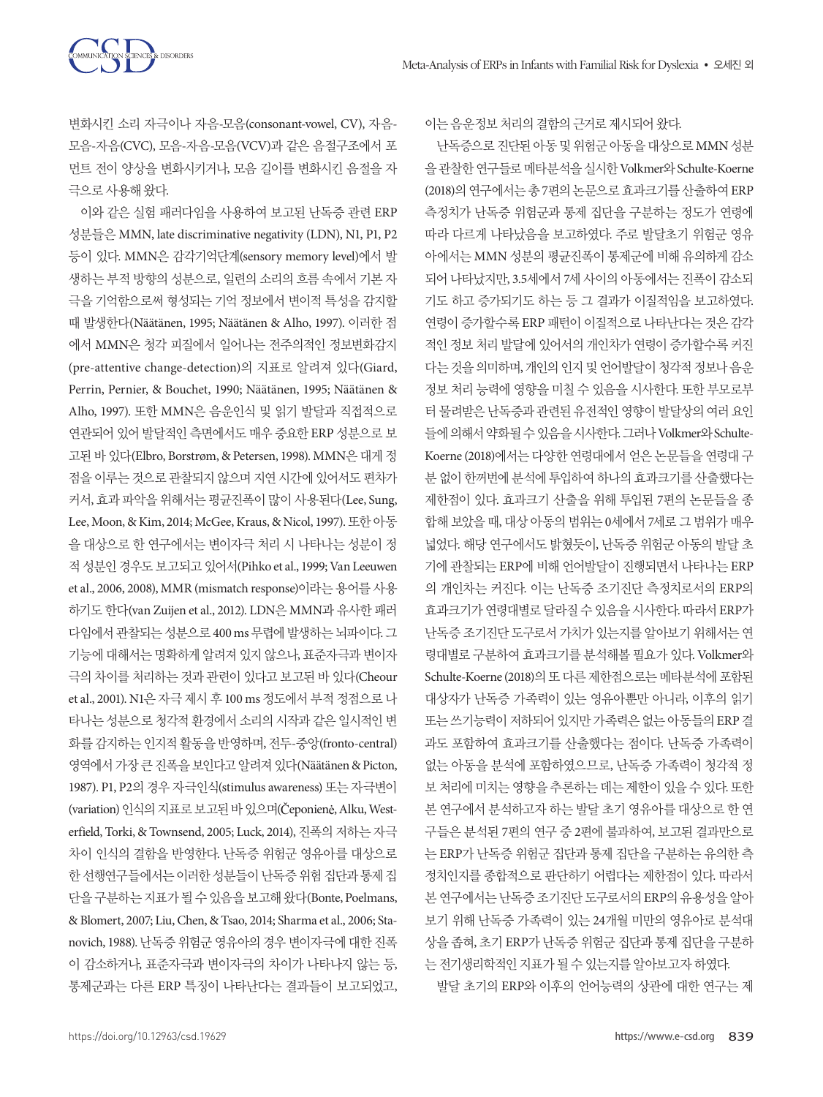

변화시킨 소리 자극이나 자음-모음(consonant-vowel, CV), 자음-모음-자음(CVC), 모음-자음-모음(VCV)과 같은 음절구조에서 포 먼트 전이 양상을 변화시키거나, 모음 길이를 변화시킨 음절을 자 극으로사용해왔다.

SCIENCES & DISORDERS

이와 같은 실험 패러다임을 사용하여 보고된 난독증 관련 ERP 성분들은 MMN, late discriminative negativity (LDN), N1, P1, P2 등이 있다. MMN은 감각기억단계(sensory memory level)에서 발 생하는 부적 방향의 성분으로, 일련의 소리의 흐름 속에서 기본 자 극을 기억함으로써 형성되는 기억 정보에서 변이적 특성을 감지할 때 발생한다(Näätänen, 1995; Näätänen & Alho, 1997). 이러한 점 에서 MMN은 청각 피질에서 일어나는 전주의적인 정보변화감지 (pre-attentive change-detection)의 지표로 알려져 있다(Giard, Perrin, Pernier, & Bouchet, 1990; Näätänen, 1995; Näätänen & Alho, 1997). 또한 MMN은 음운인식 및 읽기 발달과 직접적으로 연관되어 있어 발달적인 측면에서도 매우 중요한 ERP 성분으로 보 고된 바 있다(Elbro, Borstrøm, & Petersen, 1998). MMN은 대게 정 점을 이루는 것으로 관찰되지 않으며 지연 시간에 있어서도 편차가 커서, 효과 파악을 위해서는 평균진폭이 많이 사용된다(Lee, Sung, Lee, Moon, & Kim, 2014; McGee, Kraus, & Nicol, 1997). 또한 아동 을 대상으로 한 연구에서는 변이자극 처리 시 나타나는 성분이 정 적성분인경우도보고되고있어서(Pihko et al., 1999; Van Leeuwen et al., 2006, 2008), MMR (mismatch response)이라는 용어를 사용 하기도 한다(van Zuijen et al., 2012). LDN은 MMN과 유사한 패러 다임에서관찰되는성분으로 400 ms 무렵에발생하는뇌파이다. 그 기능에 대해서는 명확하게 알려져 있지 않으나, 표준자극과 변이자 극의 차이를 처리하는 것과 관련이 있다고 보고된 바 있다(Cheour et al., 2001). N1은 자극 제시 후 100 ms 정도에서 부적 정점으로 나 타나는 성분으로 청각적 환경에서 소리의 시작과 같은 일시적인 변 화를 감지하는 인지적 활동을 반영하며, 전두-중앙(fronto-central) 영역에서가장큰진폭을보인다고알려져있다(Näätänen & Picton, 1987). P1, P2의 경우 자극인식(stimulus awareness) 또는 자극변이 (variation) 인식의지표로보고된바있으며(Čeponienė, Alku, Westerfield, Torki, & Townsend, 2005; Luck, 2014), 진폭의 저하는 자극 차이 인식의 결함을 반영한다. 난독증 위험군 영유아를 대상으로 한선행연구들에서는이러한성분들이난독증위험집단과통제집 단을구분하는지표가될수있음을보고해왔다(Bonte, Poelmans, & Blomert, 2007; Liu, Chen, & Tsao, 2014; Sharma et al., 2006; Stanovich, 1988). 난독증위험군 영유아의 경우변이자극에 대한 진폭 이 감소하거나, 표준자극과 변이자극의 차이가 나타나지 않는 등, 통제군과는 다른 ERP 특징이 나타난다는 결과들이 보고되었고, 이는음운정보처리의결함의근거로제시되어왔다.

난독증으로진단된아동및위험군아동을대상으로 MMN 성분 을관찰한연구들로메타분석을실시한 Volkmer와 Schulte-Koerne (2018)의 연구에서는 총 7편의 논문으로 효과크기를 산출하여 ERP 측정치가 난독증 위험군과 통제 집단을 구분하는 정도가 연령에 따라 다르게 나타났음을 보고하였다. 주로 발달초기 위험군 영유 아에서는 MMN 성분의 평균진폭이 통제군에 비해 유의하게 감소 되어 나타났지만, 3.5세에서 7세 사이의 아동에서는 진폭이 감소되 기도 하고 증가되기도 하는 등 그 결과가 이질적임을 보고하였다. 연령이 증가할수록 ERP 패턴이 이질적으로 나타난다는 것은 감각 적인 정보 처리 발달에 있어서의 개인차가 연령이 증가할수록 커진 다는 것을 의미하며, 개인의 인지 및 언어발달이 청각적 정보나 음운 정보 처리 능력에 영향을 미칠 수 있음을 시사한다. 또한 부모로부 터 물려받은 난독증과 관련된 유전적인 영향이 발달상의 여러 요인 들에의해서약화될수있음을시사한다. 그러나 Volkmer와 Schulte-Koerne (2018)에서는 다양한 연령대에서 얻은 논문들을 연령대 구 분 없이 한꺼번에 분석에 투입하여 하나의 효과크기를 산출했다는 제한점이 있다. 효과크기 산출을 위해 투입된 7편의 논문들을 종 합해 보았을 때, 대상 아동의 범위는 0세에서 7세로 그 범위가 매우 넓었다. 해당 연구에서도 밝혔듯이, 난독증 위험군 아동의 발달 초 기에 관찰되는 ERP에 비해 언어발달이 진행되면서 나타나는 ERP 의 개인차는 커진다. 이는 난독증 조기진단 측정치로서의 ERP의 효과크기가 연령대별로 달라질 수 있음을 시사한다. 따라서 ERP가 난독증 조기진단 도구로서 가치가 있는지를 알아보기 위해서는 연 령대별로 구분하여 효과크기를 분석해볼 필요가 있다. Volkmer와 Schulte-Koerne (2018)의 또 다른 제한점으로는 메타분석에 포함된 대상자가 난독증 가족력이 있는 영유아뿐만 아니라, 이후의 읽기 또는쓰기능력이저하되어있지만가족력은없는아동들의 ERP 결 과도 포함하여 효과크기를 산출했다는 점이다. 난독증 가족력이 없는 아동을 분석에 포함하였으므로, 난독증 가족력이 청각적 정 보 처리에 미치는 영향을 추론하는 데는 제한이 있을 수 있다. 또한 본 연구에서 분석하고자 하는 발달 초기 영유아를 대상으로 한 연 구들은 분석된 7편의 연구 중 2편에 불과하여, 보고된 결과만으로 는 ERP가 난독증 위험군 집단과 통제 집단을 구분하는 유의한 측 정치인지를 종합적으로 판단하기 어렵다는 제한점이 있다. 따라서 본 연구에서는 난독증 조기진단 도구로서의 ERP의 유용성을 알아 보기 위해 난독증 가족력이 있는 24개월 미만의 영유아로 분석대 상을 좁혀, 초기 ERP가 난독증 위험군 집단과 통제 집단을 구분하 는 전기생리학적인 지표가 될 수 있는지를 알아보고자 하였다.

발달 초기의 ERP와 이후의 언어능력의 상관에 대한 연구는 제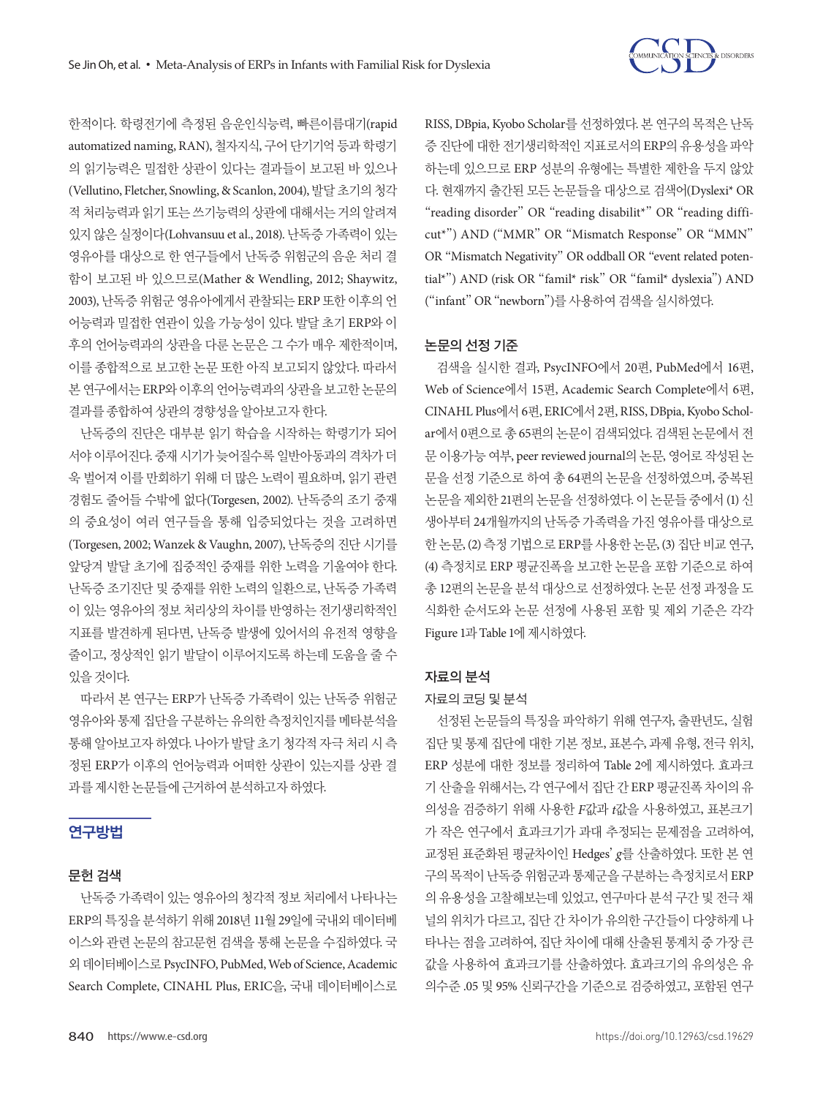

한적이다. 학령전기에 측정된 음운인식능력, 빠른이름대기(rapid automatized naming, RAN), 철자지식, 구어 단기기억 등과 학령기 의 읽기능력은 밀접한 상관이 있다는 결과들이 보고된 바 있으나 (Vellutino, Fletcher, Snowling, & Scanlon, 2004), 발달 초기의 청각 적 처리능력과 읽기 또는 쓰기능력의 상관에 대해서는 거의 알려져 있지 않은 실정이다(Lohvansuu et al., 2018). 난독증 가족력이 있는 영유아를 대상으로 한 연구들에서 난독증 위험군의 음운 처리 결 함이 보고된 바 있으므로(Mather & Wendling, 2012; Shaywitz, 2003), 난독증 위험군 영유아에게서 관찰되는 ERP 또한 이후의 언 어능력과 밀접한 연관이 있을 가능성이 있다. 발달 초기 ERP와 이 후의 언어능력과의 상관을 다룬 논문은 그 수가 매우 제한적이며, 이를 종합적으로 보고한 논문 또한 아직 보고되지 않았다. 따라서 본 연구에서는 ERP와 이후의 언어능력과의 상관을 보고한논문의 결과를종합하여상관의경향성을알아보고자한다.

난독증의 진단은 대부분 읽기 학습을 시작하는 학령기가 되어 서야 이루어진다. 중재 시기가 늦어질수록 일반아동과의 격차가 더 욱 벌어져 이를 만회하기 위해 더 많은 노력이 필요하며, 읽기 관련 경험도 줄어들 수밖에 없다(Torgesen, 2002). 난독증의 조기 중재 의 중요성이 여러 연구들을 통해 입증되었다는 것을 고려하면 (Torgesen, 2002; Wanzek & Vaughn, 2007), 난독증의 진단 시기를 앞당겨 발달 초기에 집중적인 중재를 위한 노력을 기울여야 한다. 난독증 조기진단 및 중재를 위한 노력의 일환으로, 난독증 가족력 이 있는 영유아의 정보 처리상의 차이를 반영하는 전기생리학적인 지표를 발견하게 된다면, 난독증 발생에 있어서의 유전적 영향을 줄이고, 정상적인 읽기 발달이 이루어지도록 하는데 도움을 줄 수 있을것이다.

따라서 본 연구는 ERP가 난독증 가족력이 있는 난독증 위험군 영유아와 통제 집단을 구분하는 유의한 측정치인지를 메타분석을 통해 알아보고자 하였다. 나아가 발달 초기 청각적 자극 처리 시 측 정된 ERP가 이후의 언어능력과 어떠한 상관이 있는지를 상관 결 과를제시한논문들에근거하여분석하고자하였다.

## 연구방법

#### 문헌 검색

난독증 가족력이 있는 영유아의 청각적 정보 처리에서 나타나는 ERP의 특징을 분석하기 위해 2018년 11월 29일에 국내외 데이터베 이스와 관련 논문의 참고문헌 검색을 통해 논문을 수집하였다. 국 외데이터베이스로 PsycINFO, PubMed, Web of Science, Academic Search Complete, CINAHL Plus, ERIC을, 국내 데이터베이스로

RISS, DBpia, Kyobo Scholar를 선정하였다. 본 연구의 목적은 난독 증 진단에 대한 전기생리학적인 지표로서의 ERP의 유용성을 파악 하는데 있으므로 ERP 성분의 유형에는 특별한 제한을 두지 않았 다. 현재까지 출간된 모든 논문들을 대상으로 검색어(Dyslexi\* OR "reading disorder" OR "reading disabilit\*" OR "reading difficut\*") AND ("MMR" OR "Mismatch Response" OR "MMN" OR "Mismatch Negativity" OR oddball OR "event related potential\*") AND (risk OR "famil\* risk" OR "famil\* dyslexia") AND ("infant" OR "newborn")를사용하여검색을실시하였다.

#### 논문의 선정 기준

검색을 실시한 결과, PsycINFO에서 20편, PubMed에서 16편, Web of Science에서 15편, Academic Search Complete에서 6편, CINAHL Plus에서 6편, ERIC에서 2편, RISS, DBpia, Kyobo Scholar에서 0편으로 총 65편의 논문이 검색되었다. 검색된 논문에서 전 문 이용가능 여부, peer reviewed journal의 논문, 영어로 작성된 논 문을 선정 기준으로 하여 총 64편의 논문을 선정하였으며, 중복된 논문을 제외한 21편의 논문을 선정하였다. 이 논문들 중에서 (1) 신 생아부터 24개월까지의 난독증 가족력을 가진 영유아를 대상으로 한 논문, (2) 측정 기법으로 ERP를 사용한 논문, (3) 집단 비교 연구, (4) 측정치로 ERP 평균진폭을 보고한 논문을 포함 기준으로 하여 총 12편의 논문을 분석 대상으로 선정하였다. 논문 선정 과정을 도 식화한 순서도와 논문 선정에 사용된 포함 및 제외 기준은 각각 Figure 1과 Table 1에제시하였다.

### 자료의 분석

#### 자료의 코딩 및 분석

선정된 논문들의 특징을 파악하기 위해 연구자, 출판년도, 실험 집단 및 통제 집단에 대한 기본 정보, 표본수, 과제 유형, 전극 위치, ERP 성분에 대한 정보를 정리하여 Table 2에 제시하였다. 효과크 기 산출을 위해서는, 각 연구에서 집단 간 ERP 평균진폭 차이의 유 의성을 검증하기 위해 사용한 *F*값과 *t*값을 사용하였고, 표본크기 가 작은 연구에서 효과크기가 과대 추정되는 문제점을 고려하여, 교정된 표준화된 평균차이인 Hedges' *g*를 산출하였다. 또한 본 연 구의목적이난독증위험군과통제군을구분하는측정치로서 ERP 의 유용성을 고찰해보는데 있었고, 연구마다 분석 구간 및 전극 채 널의 위치가 다르고, 집단 간 차이가 유의한 구간들이 다양하게 나 타나는 점을 고려하여, 집단 차이에 대해 산출된 통계치 중 가장 큰 값을 사용하여 효과크기를 산출하였다. 효과크기의 유의성은 유 의수준 .05 및 95% 신뢰구간을 기준으로 검증하였고, 포함된 연구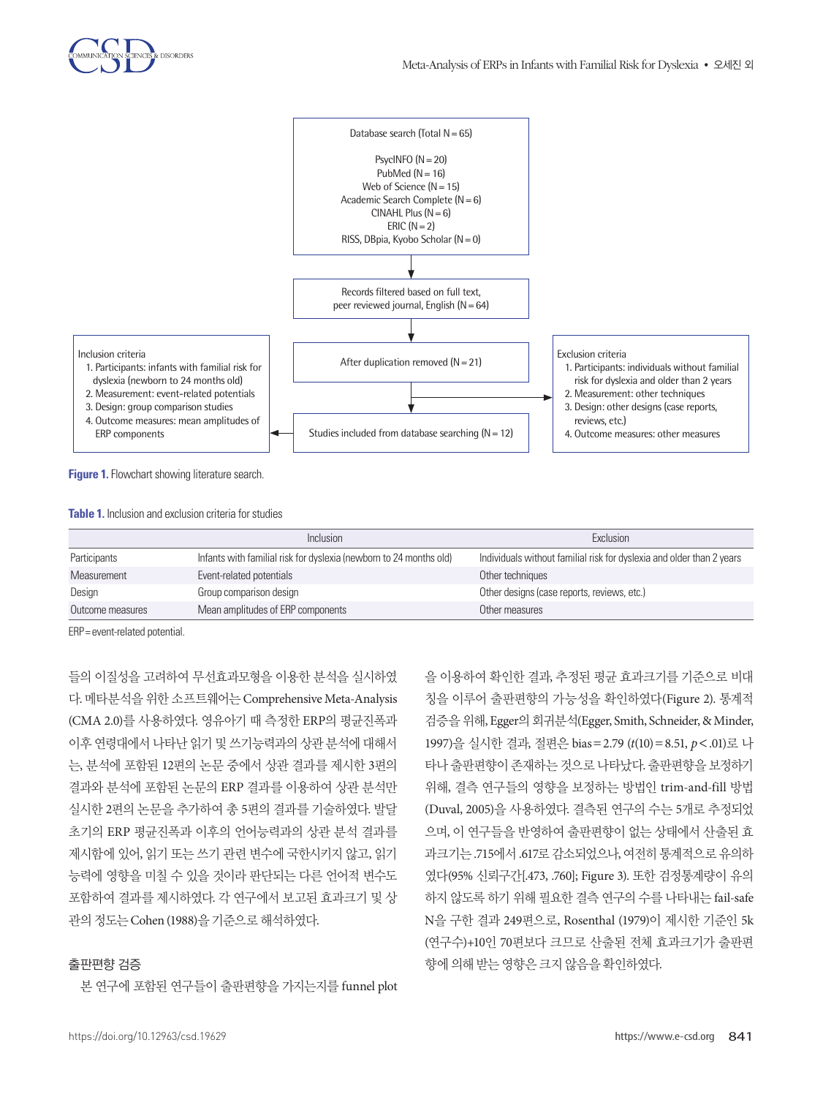

**Figure 1.** Flowchart showing literature search.

**Table 1.** Inclusion and exclusion criteria for studies

|                  | Inclusion                                                          | Exclusion                                                             |  |
|------------------|--------------------------------------------------------------------|-----------------------------------------------------------------------|--|
| Participants     | Infants with familial risk for dyslexia (newborn to 24 months old) | Individuals without familial risk for dyslexia and older than 2 years |  |
| Measurement      | Event-related potentials                                           | Other techniques                                                      |  |
| Design           | Group comparison design                                            | Other designs (case reports, reviews, etc.)                           |  |
| Outcome measures | Mean amplitudes of ERP components                                  | Other measures                                                        |  |

ERP= event-related potential.

들의 이질성을 고려하여 무선효과모형을 이용한 분석을 실시하였 다. 메타분석을 위한 소프트웨어는 Comprehensive Meta-Analysis (CMA 2.0)를 사용하였다. 영유아기 때 측정한 ERP의 평균진폭과 이후 연령대에서 나타난 읽기 및 쓰기능력과의 상관 분석에 대해서 는, 분석에 포함된 12편의 논문 중에서 상관 결과를 제시한 3편의 결과와 분석에 포함된 논문의 ERP 결과를 이용하여 상관 분석만 실시한 2편의 논문을 추가하여 총 5편의 결과를 기술하였다. 발달 초기의 ERP 평균진폭과 이후의 언어능력과의 상관 분석 결과를 제시함에 있어, 읽기 또는 쓰기 관련 변수에 국한시키지 않고, 읽기 능력에 영향을 미칠 수 있을 것이라 판단되는 다른 언어적 변수도 포함하여 결과를 제시하였다. 각 연구에서 보고된 효과크기 및 상 관의정도는 Cohen (1988)을기준으로해석하였다.

#### 출판편향 검증

본 연구에 포함된 연구들이 출판편향을 가지는지를 funnel plot

을 이용하여 확인한 결과, 추정된 평균 효과크기를 기준으로 비대 칭을 이루어 출판편향의 가능성을 확인하였다(Figure 2). 통계적 검증을위해, Egger의회귀분석(Egger, Smith, Schneider, & Minder, 1997)을 실시한 결과, 절편은 bias=2.79 (*t*(10)=8.51, *p*<.01)로 나 타나 출판편향이 존재하는 것으로 나타났다. 출판편향을 보정하기 위해, 결측 연구들의 영향을 보정하는 방법인 trim-and-fill 방법 (Duval, 2005)을 사용하였다. 결측된 연구의 수는 5개로 추정되었 으며, 이 연구들을 반영하여 출판편향이 없는 상태에서 산출된 효 과크기는 .715에서 .617로 감소되었으나, 여전히 통계적으로 유의하 였다(95% 신뢰구간[.473, .760]; Figure 3). 또한 검정통계량이 유의 하지 않도록 하기 위해 필요한 결측 연구의 수를 나타내는 fail-safe N을 구한 결과 249편으로, Rosenthal (1979)이 제시한 기준인 5k (연구수)+10인 70편보다 크므로 산출된 전체 효과크기가 출판편 향에의해받는영향은크지않음을확인하였다.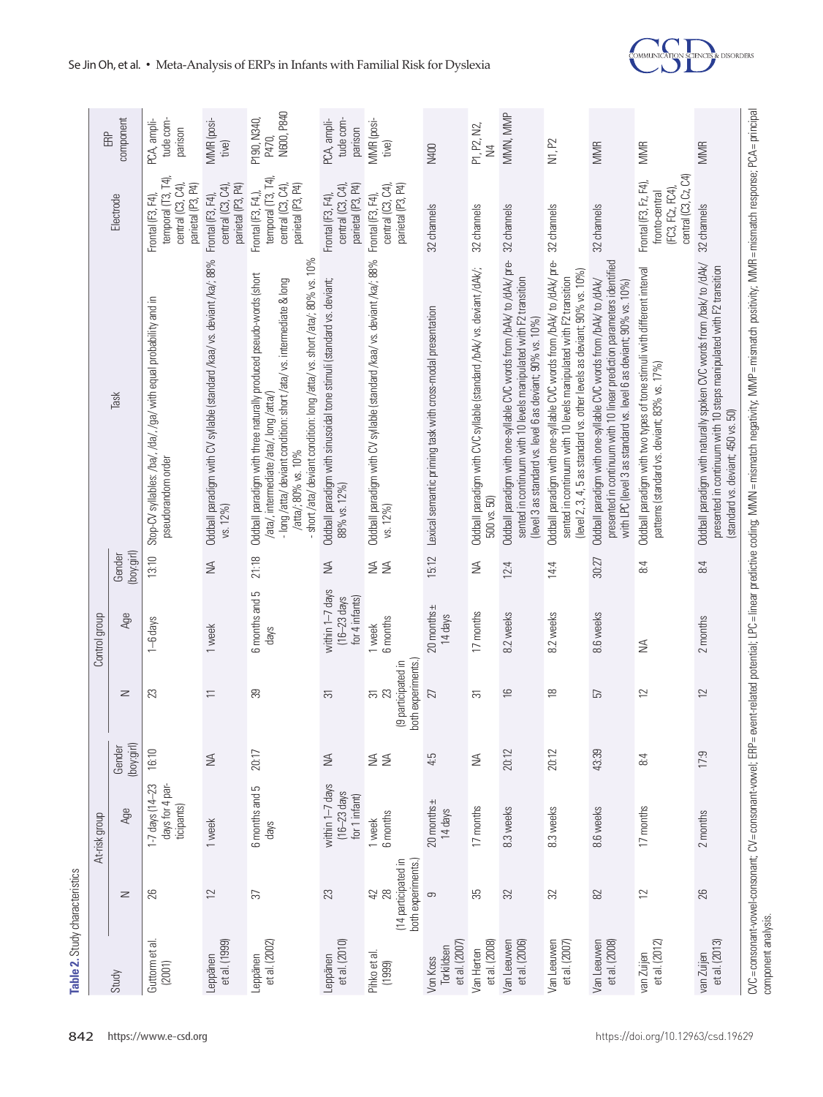| N600, P840<br>MMN, MMP<br>component<br>MMR (posi-<br>P190, N340,<br>tude com-<br>tude com-<br>PCA, ampli-<br>MMR (posi-<br>PCA, ampli-<br>P1, P2, N2,<br>parison<br>parison<br>P470,<br>N1, P2<br>tive)<br>tive)<br><b>MMR</b><br><b>MMR</b><br><b>MMR</b><br><b>N400</b><br>$\geq$<br>central (C3, Cz, C4)<br>temporal (T3, T4)<br>temporal (T3, T4)<br>Frontal (F3, Fz, F4),<br>parietal (P3, P4)<br>parietal (P3, P4)<br>parietal (P3, P4)<br>parietal (P3, P4)<br>central $(C3, CA)$<br>parietal (P3, P4)<br>$central$ $(C3, CA)$<br>central (C3, C4)<br>central (C3, C4)<br>central (C3, C4)<br>(FC3, FCz, FC4),<br>fronto-central<br>Frontal (F3, F4,),<br>Frontal (F3, F4),<br>Frontal (F3, F4),<br>Electrode<br>Frontal (F3, F4),<br>Frontal (F3, F4),<br>32 channels<br>32 channels<br>32 channels<br>32 channels<br>32 channels<br>32 channels<br>- short /ata/ deviant condition: long /atta/ vs. short /ata/; 80% vs. 10%<br>Oddball paradigm with CV syllable (standard /kaa/ vs. deviant /ka/; 88%<br>Oddball paradigm with CV syllable (standard /kaa/ vs. deviant /ka/; 88%<br>Oddball paradigm with one-syllable CVC words from /bAk/ to /dAk/ pre-<br>Oddball paradigm with one-syllable CVC words from /bAk/ to /dAk/ pre-<br>presented in continuum with 10 linear prediction parameters identified<br>Oddball paradigm with naturally spoken CVC words from /bak/ to /dAk/<br>presented in continuum with 10 steps manipulated with F2 transition<br>Oddball paradigm with CVC syllable (standard /bAk/ vs. deviant /dAk/;<br>Oddball paradigm with two types of tone stimuli with different interval<br>(level 2, 3, 4, 5 as standard vs. other levels as deviant; 90% vs. 10%)<br>Oddball paradigm with three naturally produced pseudo-words (short<br>sented in continuum with 10 levels manipulated with F2 transition<br>sented in continuum with 10 levels manipulated with F2 transition<br>Oddball paradigm with sinusoidal tone stimuli (standard vs. deviant;<br>- long/atta/ deviant condition: short/ata/vs. intermediate & long<br>Oddball paradigm with one-syllable CVC words from /bAk/ to /dAk/<br>with LPC (level 3 as standard vs. level 6 as deviant; 90% vs. 10%)<br>Stop-CV syllables: /ba/, /da/, /ga/ with equal probability and in<br>Lexical semantic priming task with cross-modal presentation<br>(level 3 as standard vs. level 6 as deviant; 90% vs. 10%)<br>patterns (standard vs. deviant; 83% vs. 17%)<br>Task<br>/ata/, intermediate /ata/, long /atta/)<br>(standard vs. deviant; 450 vs. 50)<br>/atta/; 80% vs. 10%<br>pseudorandom order<br>88% vs. 12%)<br>500 vs. 50)<br>vs. 12%)<br>vs. 12%)<br>(boy:girl)<br>15:12<br>Gender<br>21:18<br>13:10<br>30:27<br>$\lessgtr$<br>$\leq$<br>$\leq$<br>6:4<br>≨≦<br>8:4<br>12:4<br>14:4<br>within 1-7 days<br>6 months and 5<br>for 4 infants)<br>$(16-23$ days<br>$20$ months $\pm$<br>17 months<br>8.6 weeks<br>Age<br>8.2 weeks<br>8.2 weeks<br>14 days<br>6 months<br>2 months<br>1-6 days<br>1 week<br>1 week<br>days |
|---------------------------------------------------------------------------------------------------------------------------------------------------------------------------------------------------------------------------------------------------------------------------------------------------------------------------------------------------------------------------------------------------------------------------------------------------------------------------------------------------------------------------------------------------------------------------------------------------------------------------------------------------------------------------------------------------------------------------------------------------------------------------------------------------------------------------------------------------------------------------------------------------------------------------------------------------------------------------------------------------------------------------------------------------------------------------------------------------------------------------------------------------------------------------------------------------------------------------------------------------------------------------------------------------------------------------------------------------------------------------------------------------------------------------------------------------------------------------------------------------------------------------------------------------------------------------------------------------------------------------------------------------------------------------------------------------------------------------------------------------------------------------------------------------------------------------------------------------------------------------------------------------------------------------------------------------------------------------------------------------------------------------------------------------------------------------------------------------------------------------------------------------------------------------------------------------------------------------------------------------------------------------------------------------------------------------------------------------------------------------------------------------------------------------------------------------------------------------------------------------------------------------------------------------------------------------------------------------------------------------------------------------------------------------------------------------------------------------------------------------------------------------------------------------------------------------------------------------------------------------------------------------------------------------------------------------------------------------------------------------------------------------------|
|                                                                                                                                                                                                                                                                                                                                                                                                                                                                                                                                                                                                                                                                                                                                                                                                                                                                                                                                                                                                                                                                                                                                                                                                                                                                                                                                                                                                                                                                                                                                                                                                                                                                                                                                                                                                                                                                                                                                                                                                                                                                                                                                                                                                                                                                                                                                                                                                                                                                                                                                                                                                                                                                                                                                                                                                                                                                                                                                                                                                                                 |
|                                                                                                                                                                                                                                                                                                                                                                                                                                                                                                                                                                                                                                                                                                                                                                                                                                                                                                                                                                                                                                                                                                                                                                                                                                                                                                                                                                                                                                                                                                                                                                                                                                                                                                                                                                                                                                                                                                                                                                                                                                                                                                                                                                                                                                                                                                                                                                                                                                                                                                                                                                                                                                                                                                                                                                                                                                                                                                                                                                                                                                 |
|                                                                                                                                                                                                                                                                                                                                                                                                                                                                                                                                                                                                                                                                                                                                                                                                                                                                                                                                                                                                                                                                                                                                                                                                                                                                                                                                                                                                                                                                                                                                                                                                                                                                                                                                                                                                                                                                                                                                                                                                                                                                                                                                                                                                                                                                                                                                                                                                                                                                                                                                                                                                                                                                                                                                                                                                                                                                                                                                                                                                                                 |
|                                                                                                                                                                                                                                                                                                                                                                                                                                                                                                                                                                                                                                                                                                                                                                                                                                                                                                                                                                                                                                                                                                                                                                                                                                                                                                                                                                                                                                                                                                                                                                                                                                                                                                                                                                                                                                                                                                                                                                                                                                                                                                                                                                                                                                                                                                                                                                                                                                                                                                                                                                                                                                                                                                                                                                                                                                                                                                                                                                                                                                 |
|                                                                                                                                                                                                                                                                                                                                                                                                                                                                                                                                                                                                                                                                                                                                                                                                                                                                                                                                                                                                                                                                                                                                                                                                                                                                                                                                                                                                                                                                                                                                                                                                                                                                                                                                                                                                                                                                                                                                                                                                                                                                                                                                                                                                                                                                                                                                                                                                                                                                                                                                                                                                                                                                                                                                                                                                                                                                                                                                                                                                                                 |
|                                                                                                                                                                                                                                                                                                                                                                                                                                                                                                                                                                                                                                                                                                                                                                                                                                                                                                                                                                                                                                                                                                                                                                                                                                                                                                                                                                                                                                                                                                                                                                                                                                                                                                                                                                                                                                                                                                                                                                                                                                                                                                                                                                                                                                                                                                                                                                                                                                                                                                                                                                                                                                                                                                                                                                                                                                                                                                                                                                                                                                 |
|                                                                                                                                                                                                                                                                                                                                                                                                                                                                                                                                                                                                                                                                                                                                                                                                                                                                                                                                                                                                                                                                                                                                                                                                                                                                                                                                                                                                                                                                                                                                                                                                                                                                                                                                                                                                                                                                                                                                                                                                                                                                                                                                                                                                                                                                                                                                                                                                                                                                                                                                                                                                                                                                                                                                                                                                                                                                                                                                                                                                                                 |
|                                                                                                                                                                                                                                                                                                                                                                                                                                                                                                                                                                                                                                                                                                                                                                                                                                                                                                                                                                                                                                                                                                                                                                                                                                                                                                                                                                                                                                                                                                                                                                                                                                                                                                                                                                                                                                                                                                                                                                                                                                                                                                                                                                                                                                                                                                                                                                                                                                                                                                                                                                                                                                                                                                                                                                                                                                                                                                                                                                                                                                 |
|                                                                                                                                                                                                                                                                                                                                                                                                                                                                                                                                                                                                                                                                                                                                                                                                                                                                                                                                                                                                                                                                                                                                                                                                                                                                                                                                                                                                                                                                                                                                                                                                                                                                                                                                                                                                                                                                                                                                                                                                                                                                                                                                                                                                                                                                                                                                                                                                                                                                                                                                                                                                                                                                                                                                                                                                                                                                                                                                                                                                                                 |
|                                                                                                                                                                                                                                                                                                                                                                                                                                                                                                                                                                                                                                                                                                                                                                                                                                                                                                                                                                                                                                                                                                                                                                                                                                                                                                                                                                                                                                                                                                                                                                                                                                                                                                                                                                                                                                                                                                                                                                                                                                                                                                                                                                                                                                                                                                                                                                                                                                                                                                                                                                                                                                                                                                                                                                                                                                                                                                                                                                                                                                 |
|                                                                                                                                                                                                                                                                                                                                                                                                                                                                                                                                                                                                                                                                                                                                                                                                                                                                                                                                                                                                                                                                                                                                                                                                                                                                                                                                                                                                                                                                                                                                                                                                                                                                                                                                                                                                                                                                                                                                                                                                                                                                                                                                                                                                                                                                                                                                                                                                                                                                                                                                                                                                                                                                                                                                                                                                                                                                                                                                                                                                                                 |
|                                                                                                                                                                                                                                                                                                                                                                                                                                                                                                                                                                                                                                                                                                                                                                                                                                                                                                                                                                                                                                                                                                                                                                                                                                                                                                                                                                                                                                                                                                                                                                                                                                                                                                                                                                                                                                                                                                                                                                                                                                                                                                                                                                                                                                                                                                                                                                                                                                                                                                                                                                                                                                                                                                                                                                                                                                                                                                                                                                                                                                 |
|                                                                                                                                                                                                                                                                                                                                                                                                                                                                                                                                                                                                                                                                                                                                                                                                                                                                                                                                                                                                                                                                                                                                                                                                                                                                                                                                                                                                                                                                                                                                                                                                                                                                                                                                                                                                                                                                                                                                                                                                                                                                                                                                                                                                                                                                                                                                                                                                                                                                                                                                                                                                                                                                                                                                                                                                                                                                                                                                                                                                                                 |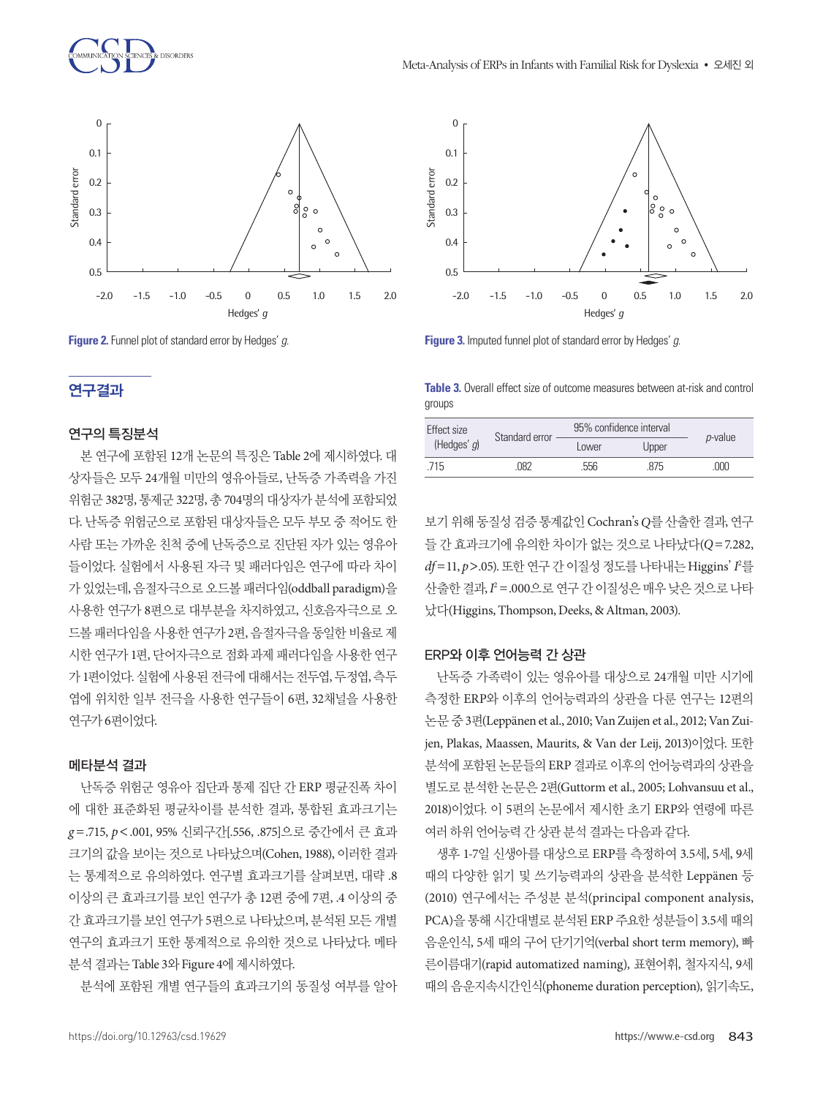

**Figure 2.** Funnel plot of standard error by Hedges' *g*.

## 연구결과

#### 연구의 특징분석

본 연구에 포함된 12개 논문의 특징은 Table 2에 제시하였다. 대 상자들은 모두 24개월 미만의 영유아들로, 난독증 가족력을 가진 위험군 382명, 통제군 322명, 총 704명의 대상자가 분석에 포함되었 다. 난독증 위험군으로 포함된 대상자들은 모두 부모 중 적어도 한 사람 또는 가까운 친척 중에 난독증으로 진단된 자가 있는 영유아 들이었다. 실험에서 사용된 자극 및 패러다임은 연구에 따라 차이 가 있었는데, 음절자극으로 오드볼 패러다임(oddball paradigm)을 사용한 연구가 8편으로 대부분을 차지하였고, 신호음자극으로 오 드볼 패러다임을 사용한 연구가 2편, 음절자극을 동일한 비율로 제 시한 연구가 1편, 단어자극으로 점화 과제 패러다임을 사용한 연구 가 1편이었다. 실험에 사용된 전극에 대해서는 전두엽, 두정엽, 측두 엽에 위치한 일부 전극을 사용한 연구들이 6편, 32채널을 사용한 연구가 6편이었다.

#### 메타분석 결과

난독증 위험군 영유아 집단과 통제 집단 간 ERP 평균진폭 차이 에 대한 표준화된 평균차이를 분석한 결과, 통합된 효과크기는 *g* =.715, *p*<.001, 95% 신뢰구간[.556, .875]으로 중간에서 큰 효과 크기의 값을 보이는 것으로 나타났으며(Cohen, 1988), 이러한 결과 는 통계적으로 유의하였다. 연구별 효과크기를 살펴보면, 대략 .8 이상의 큰 효과크기를 보인 연구가 총 12편 중에 7편, .4 이상의 중 간 효과크기를 보인 연구가 5편으로 나타났으며, 분석된 모든 개별 연구의 효과크기 또한 통계적으로 유의한 것으로 나타났다. 메타 분석 결과는 Table 3와 Figure 4에 제시하였다.

분석에 포함된 개별 연구들의 효과크기의 동질성 여부를 알아



**Figure 3.** Imputed funnel plot of standard error by Hedges' *g*.

**Table 3.** Overall effect size of outcome measures between at-risk and control groups

| Effect size<br>(Hedges' $q$ ) | Standard error | 95% confidence interval |       |                 |
|-------------------------------|----------------|-------------------------|-------|-----------------|
|                               |                | Lower                   | Upper | <i>p</i> -value |
| 715                           | 082            | 556                     | 875   | .000            |

보기 위해 동질성 검증 통계값인 Cochran's *Q*를 산출한 결과, 연구 들 간 효과크기에 유의한 차이가 없는 것으로 나타났다(*Q*=7.282, *df* =11, *p*>.05). 또한 연구 간 이질성 정도를 나타내는 Higgins'*I* 2 를 산출한 결과, I'' = .000으로 연구 간 이질성은 매우 낮은 것으로 나타 났다(Higgins, Thompson, Deeks, & Altman, 2003).

#### ERP와 이후 언어능력 간 상관

난독증 가족력이 있는 영유아를 대상으로 24개월 미만 시기에 측정한 ERP와 이후의 언어능력과의 상관을 다룬 연구는 12편의 논문 중 3편(Leppänen et al., 2010; Van Zuijen et al., 2012; Van Zuijen, Plakas, Maassen, Maurits, & Van der Leij, 2013)이었다. 또한 분석에 포함된 논문들의 ERP 결과로 이후의 언어능력과의 상관을 별도로 분석한 논문은 2편(Guttorm et al., 2005; Lohvansuu et al., 2018)이었다. 이 5편의 논문에서 제시한 초기 ERP와 연령에 따른 여러하위언어능력간상관분석결과는다음과같다.

생후 1-7일 신생아를 대상으로 ERP를 측정하여 3.5세, 5세, 9세 때의 다양한 읽기 및 쓰기능력과의 상관을 분석한 Leppänen 등 (2010) 연구에서는 주성분 분석(principal component analysis, PCA)을 통해 시간대별로 분석된 ERP 주요한 성분들이 3.5세 때의 음운인식, 5세 때의 구어 단기기억(verbal short term memory), 빠 른이름대기(rapid automatized naming), 표현어휘, 철자지식, 9세 때의 음운지속시간인식(phoneme duration perception), 읽기속도,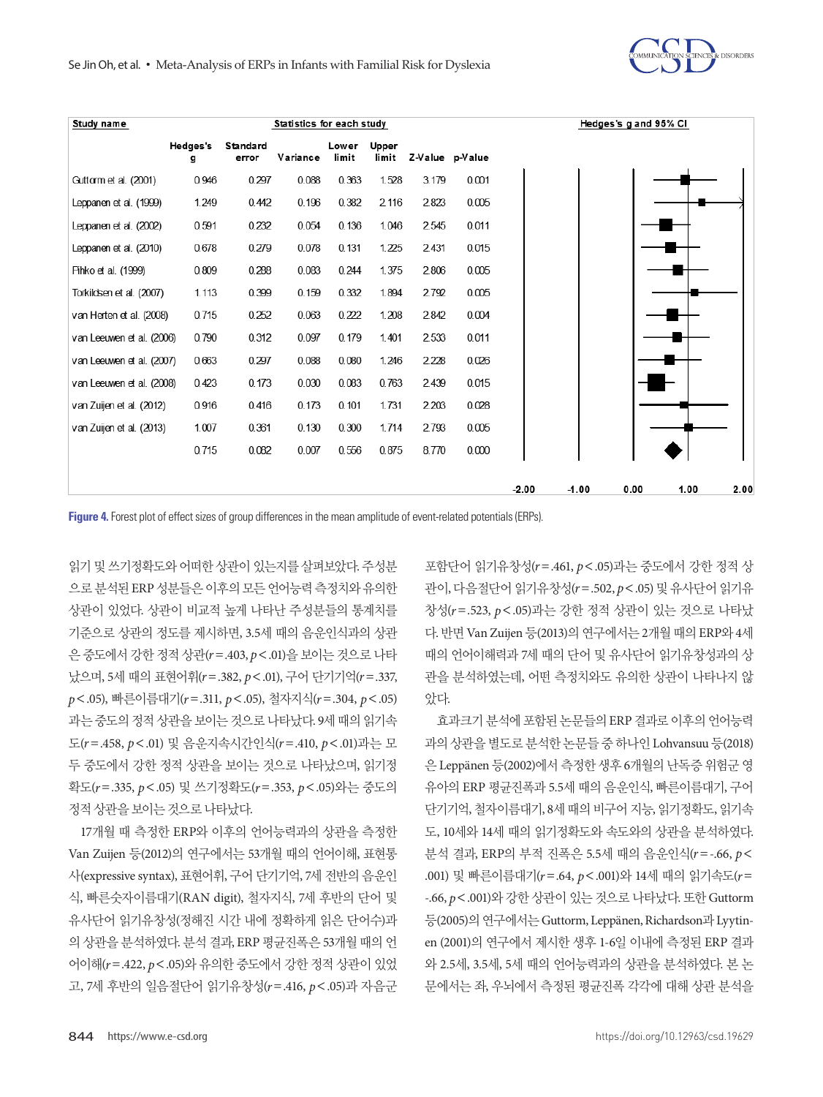



**Figure 4.** Forest plot of effect sizes of group differences in the mean amplitude of event-related potentials (ERPs).

읽기 및 쓰기정확도와 어떠한 상관이 있는지를 살펴보았다. 주성분 으로분석된 ERP 성분들은이후의모든언어능력측정치와유의한 상관이 있었다. 상관이 비교적 높게 나타난 주성분들의 통계치를 기준으로 상관의 정도를 제시하면, 3.5세 때의 음운인식과의 상관 은 중도에서 강한 정적 상관(*r*=.403, *p*<.01)을 보이는 것으로 나타 났으며, 5세 때의 표현어휘(*r*=.382, *p*<.01), 구어 단기기억(*r*=.337, *p*<.05), 빠른이름대기(*r*=.311, *p*<.05), 철자지식(*r*=.304, *p*<.05) 과는 중도의 정적 상관을 보이는 것으로 나타났다. 9세 때의 읽기속 도(*r*=.458, *p*<.01) 및 음운지속시간인식(*r*=.410, *p*<.01)과는 모 두 중도에서 강한 정적 상관을 보이는 것으로 나타났으며, 읽기정 확도(*r*=.335, *p*<.05) 및 쓰기정확도(*r*=.353, *p*<.05)와는 중도의 정적상관을보이는것으로나타났다.

17개월 때 측정한 ERP와 이후의 언어능력과의 상관을 측정한 Van Zuijen 등(2012)의 연구에서는 53개월 때의 언어이해, 표현통 사(expressive syntax), 표현어휘, 구어 단기기억, 7세 전반의 음운인 식, 빠른숫자이름대기(RAN digit), 철자지식, 7세 후반의 단어 및 유사단어 읽기유창성(정해진 시간 내에 정확하게 읽은 단어수)과 의 상관을 분석하였다. 분석 결과, ERP 평균진폭은 53개월 때의 언 어이해(*r*=.422, *p*<.05)와 유의한 중도에서 강한 정적 상관이 있었 고, 7세 후반의 일음절단어 읽기유창성(*r*=.416, *p*<.05)과 자음군 포함단어 읽기유창성(*r*=.461, *p*<.05)과는 중도에서 강한 정적 상 관이, 다음절단어 읽기유창성(*r*=.502, *p*<.05) 및 유사단어 읽기유 창성(*r*=.523, *p*<.05)과는 강한 정적 상관이 있는 것으로 나타났 다. 반면 Van Zuijen 등(2013)의 연구에서는 2개월 때의 ERP와 4세 때의 언어이해력과 7세 때의 단어 및 유사단어 읽기유창성과의 상 관을 분석하였는데, 어떤 측정치와도 유의한 상관이 나타나지 않 았다.

효과크기 분석에 포함된 논문들의 ERP 결과로 이후의 언어능력 과의 상관을 별도로 분석한 논문들 중 하나인 Lohvansuu 등(2018) 은 Leppänen 등(2002)에서 측정한 생후 6개월의 난독증 위험군 영 유아의 ERP 평균진폭과 5.5세 때의 음운인식, 빠른이름대기, 구어 단기기억, 철자이름대기, 8세 때의 비구어 지능, 읽기정확도, 읽기속 도, 10세와 14세 때의 읽기정확도와 속도와의 상관을 분석하였다. 분석 결과, ERP의 부적 진폭은 5.5세 때의 음운인식(*r*=-.66, *p*< .001) 및 빠른이름대기(*r*=.64, *p*<.001)와 14세 때의 읽기속도(*r*= -.66, *p*<.001)와 강한 상관이 있는 것으로 나타났다. 또한 Guttorm 등(2005)의 연구에서는 Guttorm, Leppänen, Richardson과 Lyytinen (2001)의 연구에서 제시한 생후 1-6일 이내에 측정된 ERP 결과 와 2.5세, 3.5세, 5세 때의 언어능력과의 상관을 분석하였다. 본 논 문에서는 좌, 우뇌에서 측정된 평균진폭 각각에 대해 상관 분석을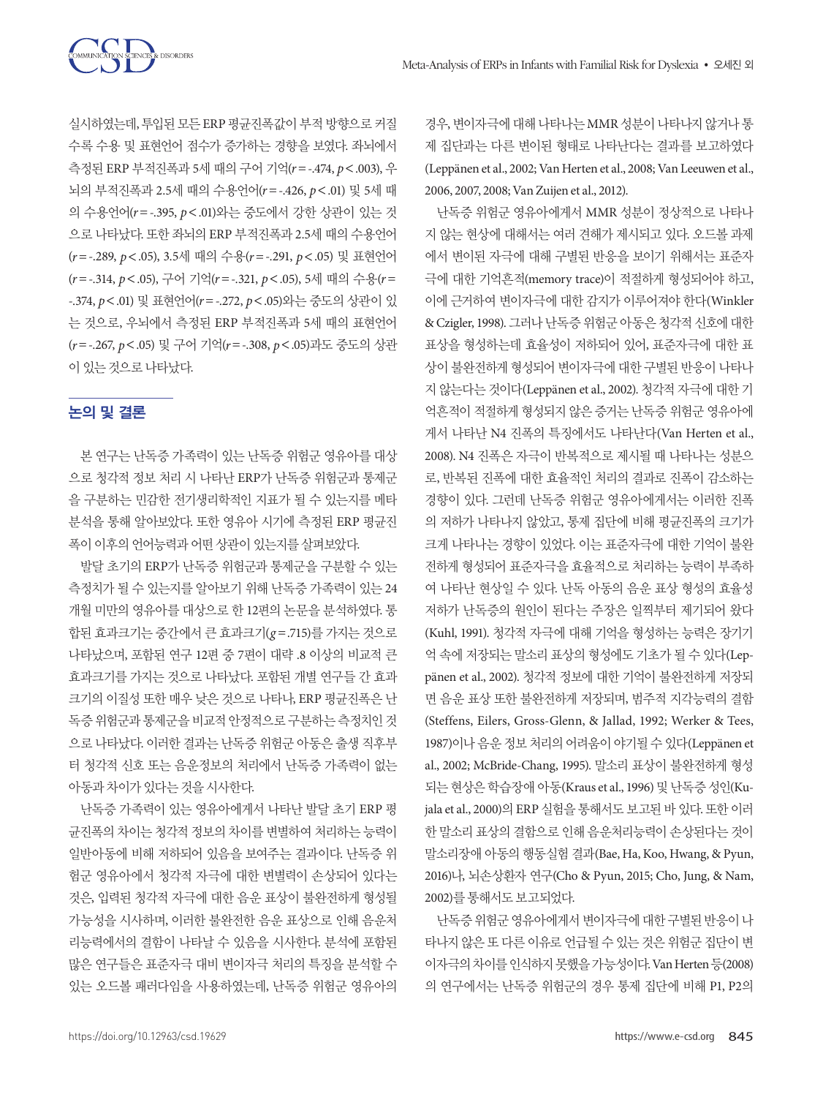실시하였는데, 투입된 모든 ERP 평균진폭값이 부적 방향으로 커질 수록 수용 및 표현언어 점수가 증가하는 경향을 보였다. 좌뇌에서 측정된 ERP 부적진폭과 5세 때의 구어 기억(*r*=-.474, *p*<.003), 우 뇌의 부적진폭과 2.5세 때의 수용언어(*r*=-.426, *p*<.01) 및 5세 때 의 수용언어(*r*=-.395, *p*<.01)와는 중도에서 강한 상관이 있는 것 으로 나타났다. 또한 좌뇌의 ERP 부적진폭과 2.5세 때의 수용언어 (*r*=-.289, *p*<.05), 3.5세 때의 수용(*r*=-.291, *p*<.05) 및 표현언어 (*r*=-.314, *p*<.05), 구어 기억(*r*=-.321, *p*<.05), 5세 때의 수용(*r*= -.374, *p*<.01) 및 표현언어(*r*=-.272, *p*<.05)와는 중도의 상관이 있 는 것으로, 우뇌에서 측정된 ERP 부적진폭과 5세 때의 표현언어 (*r*=-.267, *p*<.05) 및 구어 기억(*r*=-.308, *p*<.05)과도 중도의 상관 이있는것으로나타났다.

## 논의 및 결론

본 연구는 난독증 가족력이 있는 난독증 위험군 영유아를 대상 으로 청각적 정보 처리 시 나타난 ERP가 난독증 위험군과 통제군 을 구분하는 민감한 전기생리학적인 지표가 될 수 있는지를 메타 분석을 통해 알아보았다. 또한 영유아 시기에 측정된 ERP 평균진 폭이 이후의 언어능력과 어떤 상관이 있는지를 살펴보았다.

발달 초기의 ERP가 난독증 위험군과 통제군을 구분할 수 있는 측정치가 될 수 있는지를 알아보기 위해 난독증 가족력이 있는 24 개월 미만의 영유아를 대상으로 한 12편의 논문을 분석하였다. 통 합된 효과크기는 중간에서 큰 효과크기(*g* =.715)를 가지는 것으로 나타났으며, 포함된 연구 12편 중 7편이 대략 .8 이상의 비교적 큰 효과크기를 가지는 것으로 나타났다. 포함된 개별 연구들 간 효과 크기의 이질성 또한 매우 낮은 것으로 나타나, ERP 평균진폭은 난 독증위험군과통제군을비교적안정적으로구분하는측정치인것 으로 나타났다. 이러한 결과는 난독증 위험군 아동은 출생 직후부 터 청각적 신호 또는 음운정보의 처리에서 난독증 가족력이 없는 아동과차이가있다는것을시사한다.

난독증 가족력이 있는 영유아에게서 나타난 발달 초기 ERP 평 균진폭의 차이는 청각적 정보의 차이를 변별하여 처리하는 능력이 일반아동에 비해 저하되어 있음을 보여주는 결과이다. 난독증 위 험군 영유아에서 청각적 자극에 대한 변별력이 손상되어 있다는 것은, 입력된 청각적 자극에 대한 음운 표상이 불완전하게 형성될 가능성을 시사하며, 이러한 불완전한 음운 표상으로 인해 음운처 리능력에서의 결함이 나타날 수 있음을 시사한다. 분석에 포함된 많은 연구들은 표준자극 대비 변이자극 처리의 특징을 분석할 수 있는 오드볼 패러다임을 사용하였는데, 난독증 위험군 영유아의

경우, 변이자극에대해나타나는 MMR 성분이나타나지않거나통 제 집단과는 다른 변이된 형태로 나타난다는 결과를 보고하였다 (Leppänen et al., 2002; Van Herten et al., 2008; Van Leeuwen et al., 2006, 2007, 2008; Van Zuijen et al., 2012).

난독증 위험군 영유아에게서 MMR 성분이 정상적으로 나타나 지 않는 현상에 대해서는 여러 견해가 제시되고 있다. 오드볼 과제 에서 변이된 자극에 대해 구별된 반응을 보이기 위해서는 표준자 극에 대한 기억흔적(memory trace)이 적절하게 형성되어야 하고, 이에 근거하여 변이자극에 대한 감지가 이루어져야 한다(Winkler & Czigler, 1998). 그러나 난독증 위험군 아동은 청각적 신호에 대한 표상을 형성하는데 효율성이 저하되어 있어, 표준자극에 대한 표 상이 불완전하게 형성되어 변이자극에 대한 구별된 반응이 나타나 지 않는다는 것이다(Leppänen et al., 2002). 청각적 자극에 대한 기 억흔적이 적절하게 형성되지 않은 증거는 난독증 위험군 영유아에 게서 나타난 N4 진폭의 특징에서도 나타난다(Van Herten et al., 2008). N4 진폭은 자극이 반복적으로 제시될 때 나타나는 성분으 로, 반복된 진폭에 대한 효율적인 처리의 결과로 진폭이 감소하는 경향이 있다. 그런데 난독증 위험군 영유아에게서는 이러한 진폭 의 저하가 나타나지 않았고, 통제 집단에 비해 평균진폭의 크기가 크게 나타나는 경향이 있었다. 이는 표준자극에 대한 기억이 불완 전하게 형성되어 표준자극을 효율적으로 처리하는 능력이 부족하 여 나타난 현상일 수 있다. 난독 아동의 음운 표상 형성의 효율성 저하가 난독증의 원인이 된다는 주장은 일찍부터 제기되어 왔다 (Kuhl, 1991). 청각적 자극에 대해 기억을 형성하는 능력은 장기기 억 속에 저장되는 말소리 표상의 형성에도 기초가 될 수 있다(Leppänen et al., 2002). 청각적 정보에 대한 기억이 불완전하게 저장되 면 음운 표상 또한 불완전하게 저장되며, 범주적 지각능력의 결함 (Steffens, Eilers, Gross-Glenn, & Jallad, 1992; Werker & Tees, 1987)이나 음운 정보 처리의 어려움이 야기될 수 있다(Leppänen et al., 2002; McBride-Chang, 1995). 말소리 표상이 불완전하게 형성 되는현상은학습장애아동(Kraus et al., 1996) 및난독증성인(Kujala et al., 2000)의 ERP 실험을 통해서도 보고된 바 있다. 또한 이러 한 말소리 표상의 결함으로 인해 음운처리능력이 손상된다는 것이 말소리장애 아동의 행동실험 결과(Bae, Ha, Koo, Hwang, & Pyun, 2016)나, 뇌손상환자 연구(Cho & Pyun, 2015; Cho, Jung, & Nam, 2002)를통해서도보고되었다.

난독증위험군영유아에게서변이자극에대한구별된반응이나 타나지 않은 또 다른 이유로 언급될 수 있는 것은 위험군 집단이 변 이자극의차이를인식하지못했을가능성이다. Van Herten 등(2008) 의 연구에서는 난독증 위험군의 경우 통제 집단에 비해 P1, P2의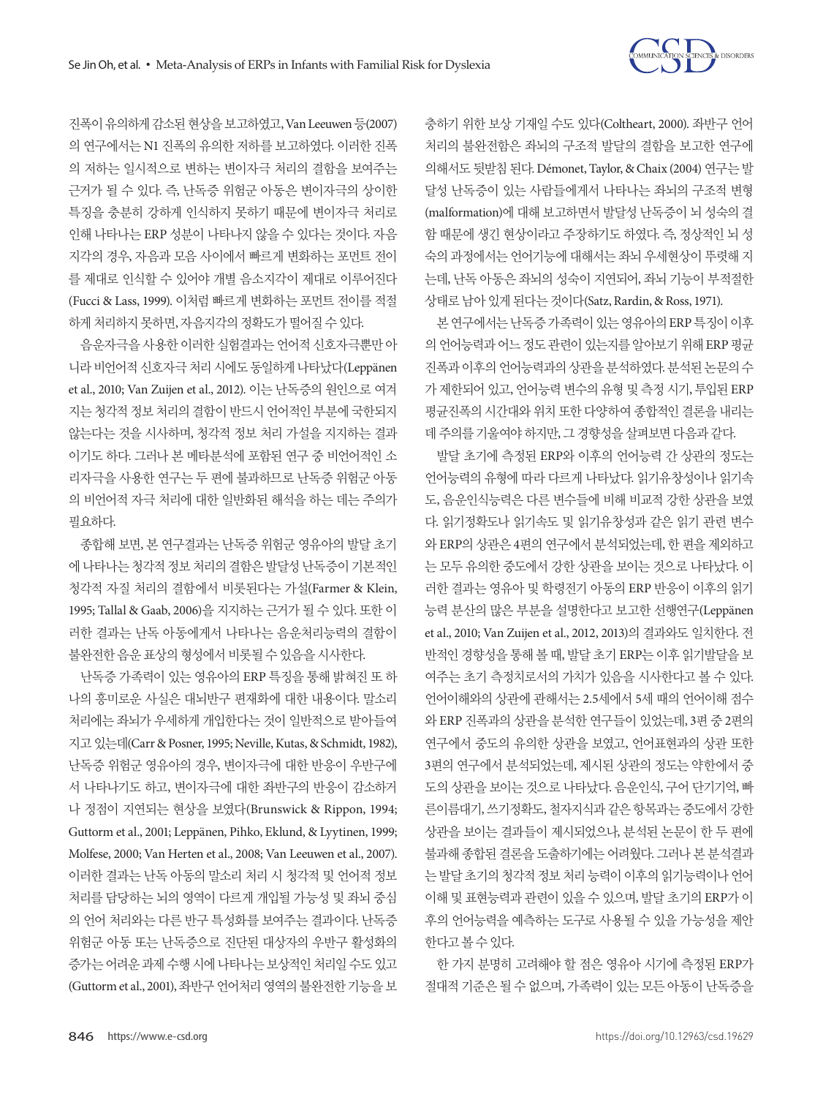

진폭이유의하게감소된현상을보고하였고, Van Leeuwen 등(2007) 의 연구에서는 N1 진폭의 유의한 저하를 보고하였다. 이러한 진폭 의 저하는 일시적으로 변하는 변이자극 처리의 결함을 보여주는 근거가 될 수 있다. 즉, 난독증 위험군 아동은 변이자극의 상이한 특징을 충분히 강하게 인식하지 못하기 때문에 변이자극 처리로 인해 나타나는 ERP 성분이 나타나지 않을 수 있다는 것이다. 자음 지각의 경우, 자음과 모음 사이에서 빠르게 변화하는 포먼트 전이 를 제대로 인식할 수 있어야 개별 음소지각이 제대로 이루어진다 (Fucci & Lass, 1999). 이처럼 빠르게 변화하는 포먼트 전이를 적절 하게 처리하지 못하면, 자음지각의 정확도가 떨어질 수 있다.

음운자극을 사용한 이러한 실험결과는 언어적 신호자극뿐만 아 니라비언어적신호자극처리시에도동일하게나타났다(Leppänen et al., 2010; Van Zuijen et al., 2012). 이는 난독증의 원인으로 여겨 지는 청각적 정보 처리의 결함이 반드시 언어적인 부분에 국한되지 않는다는 것을 시사하며, 청각적 정보 처리 가설을 지지하는 결과 이기도 하다. 그러나 본 메타분석에 포함된 연구 중 비언어적인 소 리자극을 사용한 연구는 두 편에 불과하므로 난독증 위험군 아동 의 비언어적 자극 처리에 대한 일반화된 해석을 하는 데는 주의가 필요하다.

종합해 보면, 본 연구결과는 난독증 위험군 영유아의 발달 초기 에 나타나는 청각적 정보 처리의 결함은 발달성 난독증이 기본적인 청각적 자질 처리의 결함에서 비롯된다는 가설(Farmer & Klein, 1995; Tallal & Gaab, 2006)을 지지하는 근거가 될 수 있다. 또한 이 러한 결과는 난독 아동에게서 나타나는 음운처리능력의 결함이 불완전한음운표상의형성에서비롯될수있음을시사한다.

난독증 가족력이 있는 영유아의 ERP 특징을 통해 밝혀진 또 하 나의 흥미로운 사실은 대뇌반구 편재화에 대한 내용이다. 말소리 처리에는 좌뇌가 우세하게 개입한다는 것이 일반적으로 받아들여 지고있는데(Carr & Posner, 1995; Neville, Kutas, & Schmidt, 1982), 난독증 위험군 영유아의 경우, 변이자극에 대한 반응이 우반구에 서 나타나기도 하고, 변이자극에 대한 좌반구의 반응이 감소하거 나 정점이 지연되는 현상을 보였다(Brunswick & Rippon, 1994; Guttorm et al., 2001; Leppänen, Pihko, Eklund, & Lyytinen, 1999; Molfese, 2000; Van Herten et al., 2008; Van Leeuwen et al., 2007). 이러한 결과는 난독 아동의 말소리 처리 시 청각적 및 언어적 정보 처리를 담당하는 뇌의 영역이 다르게 개입될 가능성 및 좌뇌 중심 의 언어 처리와는 다른 반구 특성화를 보여주는 결과이다. 난독증 위험군 아동 또는 난독증으로 진단된 대상자의 우반구 활성화의 증가는어려운과제수행시에나타나는보상적인처리일수도있고 (Guttorm et al., 2001), 좌반구 언어처리 영역의 불완전한 기능을 보 충하기 위한 보상 기재일 수도 있다(Coltheart, 2000). 좌반구 언어 처리의 불완전함은 좌뇌의 구조적 발달의 결함을 보고한 연구에 의해서도 뒷받침 된다. Démonet, Taylor, & Chaix (2004) 연구는 발 달성 난독증이 있는 사람들에게서 나타나는 좌뇌의 구조적 변형 (malformation)에 대해 보고하면서 발달성 난독증이 뇌 성숙의 결 함 때문에 생긴 현상이라고 주장하기도 하였다. 즉, 정상적인 뇌 성 숙의 과정에서는 언어기능에 대해서는 좌뇌 우세현상이 뚜렷해 지 는데, 난독 아동은 좌뇌의 성숙이 지연되어, 좌뇌 기능이 부적절한 상태로남아있게된다는것이다(Satz, Rardin, & Ross, 1971).

본 연구에서는 난독증 가족력이 있는 영유아의 ERP 특징이 이후 의언어능력과어느정도관련이있는지를알아보기위해 ERP 평균 진폭과이후의언어능력과의상관을분석하였다. 분석된논문의수 가 제한되어 있고, 언어능력 변수의 유형 및 측정 시기, 투입된 ERP 평균진폭의 시간대와 위치 또한 다양하여 종합적인 결론을 내리는 데주의를기울여야하지만, 그경향성을살펴보면다음과같다.

발달 초기에 측정된 ERP와 이후의 언어능력 간 상관의 정도는 언어능력의 유형에 따라 다르게 나타났다. 읽기유창성이나 읽기속 도, 음운인식능력은 다른 변수들에 비해 비교적 강한 상관을 보였 다. 읽기정확도나 읽기속도 및 읽기유창성과 같은 읽기 관련 변수 와 ERP의 상관은 4편의 연구에서 분석되었는데, 한 편을 제외하고 는 모두 유의한 중도에서 강한 상관을 보이는 것으로 나타났다. 이 러한 결과는 영유아 및 학령전기 아동의 ERP 반응이 이후의 읽기 능력 분산의 많은 부분을 설명한다고 보고한 선행연구(Leppänen et al., 2010; Van Zuijen et al., 2012, 2013)의 결과와도 일치한다. 전 반적인 경향성을 통해 볼 때, 발달 초기 ERP는 이후 읽기발달을 보 여주는 초기 측정치로서의 가치가 있음을 시사한다고 볼 수 있다. 언어이해와의 상관에 관해서는 2.5세에서 5세 때의 언어이해 점수 와 ERP 진폭과의 상관을 분석한 연구들이 있었는데, 3편 중 2편의 연구에서 중도의 유의한 상관을 보였고, 언어표현과의 상관 또한 3편의 연구에서 분석되었는데, 제시된 상관의 정도는 약한에서 중 도의 상관을 보이는 것으로 나타났다. 음운인식, 구어 단기기억, 빠 른이름대기, 쓰기정확도, 철자지식과 같은 항목과는 중도에서 강한 상관을 보이는 결과들이 제시되었으나, 분석된 논문이 한 두 편에 불과해 종합된 결론을 도출하기에는 어려웠다. 그러나 본 분석결과 는 발달 초기의 청각적 정보 처리 능력이 이후의 읽기능력이나 언어 이해 및 표현능력과 관련이 있을 수 있으며, 발달 초기의 ERP가 이 후의 언어능력을 예측하는 도구로 사용될 수 있을 가능성을 제안 한다고볼수있다.

한 가지 분명히 고려해야 할 점은 영유아 시기에 측정된 ERP가 절대적 기준은 될 수 없으며, 가족력이 있는 모든 아동이 난독증을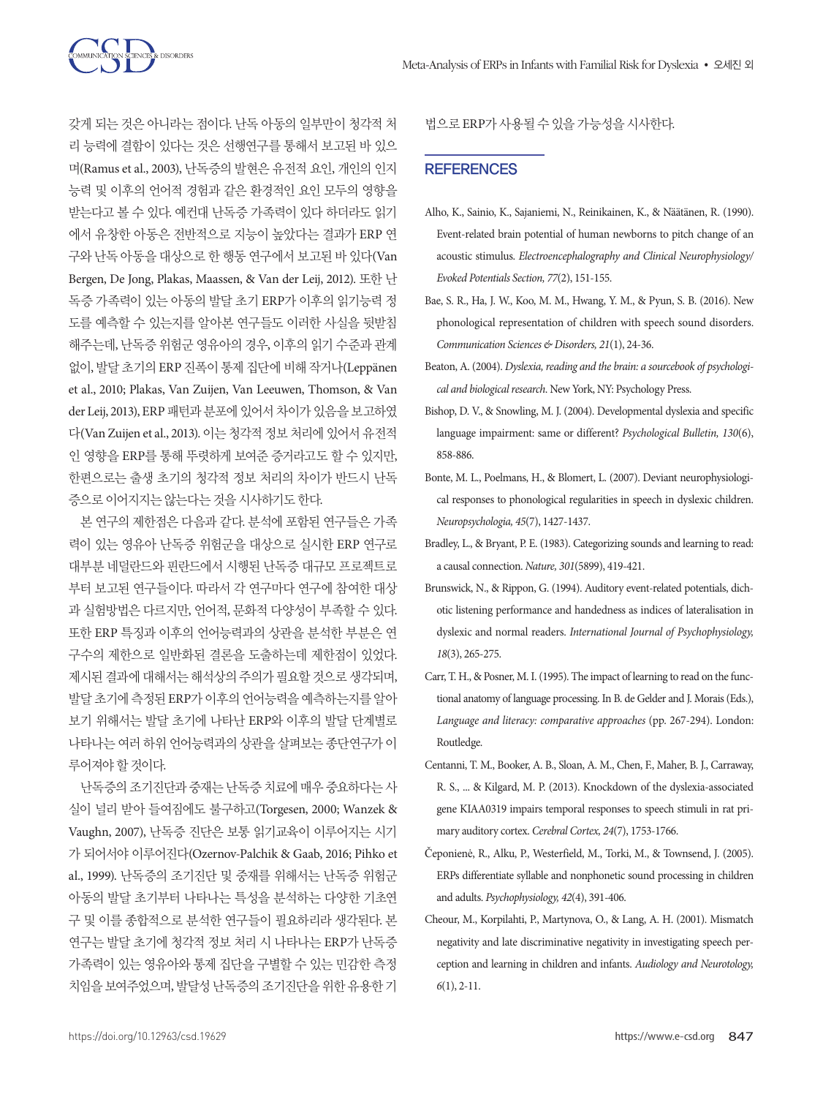갖게 되는 것은 아니라는 점이다. 난독 아동의 일부만이 청각적 처 리 능력에 결함이 있다는 것은 선행연구를 통해서 보고된 바 있으 며(Ramus et al., 2003), 난독증의 발현은 유전적 요인, 개인의 인지 능력 및 이후의 언어적 경험과 같은 환경적인 요인 모두의 영향을 받는다고 볼 수 있다. 예컨대 난독증 가족력이 있다 하더라도 읽기 에서 유창한 아동은 전반적으로 지능이 높았다는 결과가 ERP 연 구와 난독 아동을 대상으로 한 행동 연구에서 보고된 바 있다(Van Bergen, De Jong, Plakas, Maassen, & Van der Leij, 2012). 또한 난 독증 가족력이 있는 아동의 발달 초기 ERP가 이후의 읽기능력 정 도를 예측할 수 있는지를 알아본 연구들도 이러한 사실을 뒷받침 해주는데, 난독증 위험군 영유아의 경우, 이후의 읽기 수준과 관계 없이, 발달 초기의 ERP 진폭이 통제 집단에 비해 작거나(Leppänen et al., 2010; Plakas, Van Zuijen, Van Leeuwen, Thomson, & Van der Leij, 2013), ERP 패턴과 분포에 있어서 차이가 있음을 보고하였 다(Van Zuijen et al., 2013). 이는 청각적 정보 처리에 있어서 유전적 인 영향을 ERP를 통해 뚜렷하게 보여준 증거라고도 할 수 있지만, 한편으로는 출생 초기의 청각적 정보 처리의 차이가 반드시 난독 증으로이어지지는않는다는것을시사하기도한다.

**TENCES & DISORDERS** 

본 연구의 제한점은 다음과 같다. 분석에 포함된 연구들은 가족 력이 있는 영유아 난독증 위험군을 대상으로 실시한 ERP 연구로 대부분 네덜란드와 핀란드에서 시행된 난독증 대규모 프로젝트로 부터 보고된 연구들이다. 따라서 각 연구마다 연구에 참여한 대상 과 실험방법은 다르지만, 언어적, 문화적 다양성이 부족할 수 있다. 또한 ERP 특징과 이후의 언어능력과의 상관을 분석한 부분은 연 구수의 제한으로 일반화된 결론을 도출하는데 제한점이 있었다. 제시된 결과에 대해서는 해석상의 주의가 필요할 것으로 생각되며, 발달 초기에 측정된 ERP가 이후의 언어능력을 예측하는지를 알아 보기 위해서는 발달 초기에 나타난 ERP와 이후의 발달 단계별로 나타나는 여러 하위 언어능력과의 상관을 살펴보는 종단연구가 이 루어져야할것이다.

난독증의 조기진단과 중재는 난독증 치료에 매우 중요하다는 사 실이 널리 받아 들여짐에도 불구하고(Torgesen, 2000; Wanzek & Vaughn, 2007), 난독증 진단은 보통 읽기교육이 이루어지는 시기 가 되어서야 이루어진다(Ozernov-Palchik & Gaab, 2016; Pihko et al., 1999). 난독증의 조기진단 및 중재를 위해서는 난독증 위험군 아동의 발달 초기부터 나타나는 특성을 분석하는 다양한 기초연 구 및 이를 종합적으로 분석한 연구들이 필요하리라 생각된다. 본 연구는 발달 초기에 청각적 정보 처리 시 나타나는 ERP가 난독증 가족력이 있는 영유아와 통제 집단을 구별할 수 있는 민감한 측정 치임을 보여주었으며, 발달성 난독증의 조기진단을 위한 유용한 기 법으로 ERP가사용될수있을가능성을시사한다.

#### **REFERENCES**

- Alho, K., Sainio, K., Sajaniemi, N., Reinikainen, K., & Näätänen, R. (1990). Event-related brain potential of human newborns to pitch change of an acoustic stimulus. *Electroencephalography and Clinical Neurophysiology/ Evoked Potentials Section, 77*(2), 151-155.
- Bae, S. R., Ha, J. W., Koo, M. M., Hwang, Y. M., & Pyun, S. B. (2016). New phonological representation of children with speech sound disorders. *Communication Sciences & Disorders, 21*(1), 24-36.
- Beaton, A. (2004). *Dyslexia, reading and the brain: a sourcebook of psychological and biological research*. New York, NY: Psychology Press.
- Bishop, D. V., & Snowling, M. J. (2004). Developmental dyslexia and specific language impairment: same or different? *Psychological Bulletin, 130*(6), 858-886.
- Bonte, M. L., Poelmans, H., & Blomert, L. (2007). Deviant neurophysiological responses to phonological regularities in speech in dyslexic children. *Neuropsychologia, 45*(7), 1427-1437.
- Bradley, L., & Bryant, P. E. (1983). Categorizing sounds and learning to read: a causal connection. *Nature, 301*(5899), 419-421.
- Brunswick, N., & Rippon, G. (1994). Auditory event-related potentials, dichotic listening performance and handedness as indices of lateralisation in dyslexic and normal readers. *International Journal of Psychophysiology, 18*(3), 265-275.
- Carr, T. H., & Posner, M. I. (1995). The impact of learning to read on the functional anatomy of language processing. In B. de Gelder and J. Morais (Eds.), *Language and literacy: comparative approaches* (pp. 267-294). London: Routledge.
- Centanni, T. M., Booker, A. B., Sloan, A. M., Chen, F., Maher, B. J., Carraway, R. S., ... & Kilgard, M. P. (2013). Knockdown of the dyslexia-associated gene KIAA0319 impairs temporal responses to speech stimuli in rat primary auditory cortex. *Cerebral Cortex, 24*(7), 1753-1766.
- Čeponienė, R., Alku, P., Westerfield, M., Torki, M., & Townsend, J. (2005). ERPs differentiate syllable and nonphonetic sound processing in children and adults. *Psychophysiology, 42*(4), 391-406.
- Cheour, M., Korpilahti, P., Martynova, O., & Lang, A. H. (2001). Mismatch negativity and late discriminative negativity in investigating speech perception and learning in children and infants. *Audiology and Neurotology, 6*(1), 2-11.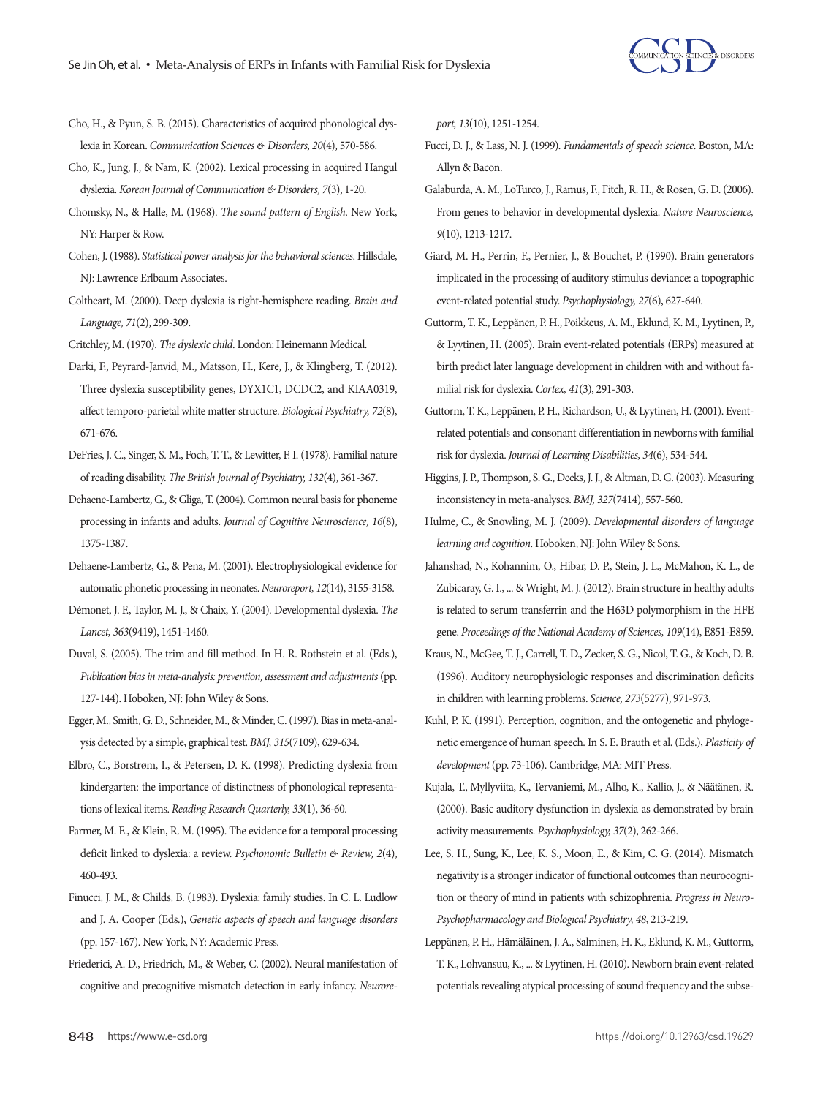

- Cho, H., & Pyun, S. B. (2015). Characteristics of acquired phonological dyslexia in Korean. *Communication Sciences & Disorders, 20*(4), 570-586.
- Cho, K., Jung, J., & Nam, K. (2002). Lexical processing in acquired Hangul dyslexia. *Korean Journal of Communication & Disorders, 7*(3), 1-20.
- Chomsky, N., & Halle, M. (1968). *The sound pattern of English*. New York, NY: Harper & Row.
- Cohen, J. (1988). *Statistical power analysis for the behavioral sciences*. Hillsdale, NJ: Lawrence Erlbaum Associates.
- Coltheart, M. (2000). Deep dyslexia is right-hemisphere reading. *Brain and Language, 71*(2), 299-309.
- Critchley, M. (1970). *The dyslexic child*. London: Heinemann Medical.
- Darki, F., Peyrard-Janvid, M., Matsson, H., Kere, J., & Klingberg, T. (2012). Three dyslexia susceptibility genes, DYX1C1, DCDC2, and KIAA0319, affect temporo-parietal white matter structure. *Biological Psychiatry, 72*(8), 671-676.
- DeFries, J. C., Singer, S. M., Foch, T. T., & Lewitter, F. I. (1978). Familial nature of reading disability. *The British Journal of Psychiatry, 132*(4), 361-367.
- Dehaene-Lambertz, G., & Gliga, T. (2004). Common neural basis for phoneme processing in infants and adults. *Journal of Cognitive Neuroscience, 16*(8), 1375-1387.
- Dehaene-Lambertz, G., & Pena, M. (2001). Electrophysiological evidence for automatic phonetic processing in neonates. *Neuroreport, 12*(14), 3155-3158.
- Démonet, J. F., Taylor, M. J., & Chaix, Y. (2004). Developmental dyslexia. *The Lancet, 363*(9419), 1451-1460.
- Duval, S. (2005). The trim and fill method. In H. R. Rothstein et al. (Eds.), *Publication bias in meta-analysis: prevention, assessment and adjustments* (pp. 127-144). Hoboken, NJ: John Wiley & Sons.
- Egger, M., Smith, G. D., Schneider, M., & Minder, C. (1997). Bias in meta-analysis detected by a simple, graphical test. *BMJ, 315*(7109), 629-634.
- Elbro, C., Borstrøm, I., & Petersen, D. K. (1998). Predicting dyslexia from kindergarten: the importance of distinctness of phonological representations of lexical items. *Reading Research Quarterly, 33*(1), 36-60.
- Farmer, M. E., & Klein, R. M. (1995). The evidence for a temporal processing deficit linked to dyslexia: a review. *Psychonomic Bulletin & Review, 2*(4), 460-493.
- Finucci, J. M., & Childs, B. (1983). Dyslexia: family studies. In C. L. Ludlow and J. A. Cooper (Eds.), *Genetic aspects of speech and language disorders*  (pp. 157-167). New York, NY: Academic Press.
- Friederici, A. D., Friedrich, M., & Weber, C. (2002). Neural manifestation of cognitive and precognitive mismatch detection in early infancy. *Neurore-*

*port, 13*(10), 1251-1254.

- Fucci, D. J., & Lass, N. J. (1999). *Fundamentals of speech science*. Boston, MA: Allyn & Bacon.
- Galaburda, A. M., LoTurco, J., Ramus, F., Fitch, R. H., & Rosen, G. D. (2006). From genes to behavior in developmental dyslexia. *Nature Neuroscience, 9*(10), 1213-1217.
- Giard, M. H., Perrin, F., Pernier, J., & Bouchet, P. (1990). Brain generators implicated in the processing of auditory stimulus deviance: a topographic event‐related potential study. *Psychophysiology, 27*(6), 627-640.
- Guttorm, T. K., Leppänen, P. H., Poikkeus, A. M., Eklund, K. M., Lyytinen, P., & Lyytinen, H. (2005). Brain event-related potentials (ERPs) measured at birth predict later language development in children with and without familial risk for dyslexia. *Cortex, 41*(3), 291-303.
- Guttorm, T. K., Leppänen, P. H., Richardson, U., & Lyytinen, H. (2001). Eventrelated potentials and consonant differentiation in newborns with familial risk for dyslexia. *Journal of Learning Disabilities, 34*(6), 534-544.
- Higgins, J. P., Thompson, S. G., Deeks, J. J., & Altman, D. G. (2003). Measuring inconsistency in meta-analyses. *BMJ, 327*(7414), 557-560.
- Hulme, C., & Snowling, M. J. (2009). *Developmental disorders of language learning and cognition*. Hoboken, NJ: John Wiley & Sons.
- Jahanshad, N., Kohannim, O., Hibar, D. P., Stein, J. L., McMahon, K. L., de Zubicaray, G. I., ... & Wright, M. J. (2012). Brain structure in healthy adults is related to serum transferrin and the H63D polymorphism in the HFE gene. *Proceedings of the National Academy of Sciences, 109*(14), E851-E859.
- Kraus, N., McGee, T. J., Carrell, T. D., Zecker, S. G., Nicol, T. G., & Koch, D. B. (1996). Auditory neurophysiologic responses and discrimination deficits in children with learning problems. *Science, 273*(5277), 971-973.
- Kuhl, P. K. (1991). Perception, cognition, and the ontogenetic and phylogenetic emergence of human speech. In S. E. Brauth et al. (Eds.), *Plasticity of development* (pp. 73-106). Cambridge, MA: MIT Press.
- Kujala, T., Myllyviita, K., Tervaniemi, M., Alho, K., Kallio, J., & Näätänen, R. (2000). Basic auditory dysfunction in dyslexia as demonstrated by brain activity measurements. *Psychophysiology, 37*(2), 262-266.
- Lee, S. H., Sung, K., Lee, K. S., Moon, E., & Kim, C. G. (2014). Mismatch negativity is a stronger indicator of functional outcomes than neurocognition or theory of mind in patients with schizophrenia. *Progress in Neuro-Psychopharmacology and Biological Psychiatry, 48*, 213-219.
- Leppänen, P. H., Hämäläinen, J. A., Salminen, H. K., Eklund, K. M., Guttorm, T. K., Lohvansuu, K., ... & Lyytinen, H. (2010). Newborn brain event-related potentials revealing atypical processing of sound frequency and the subse-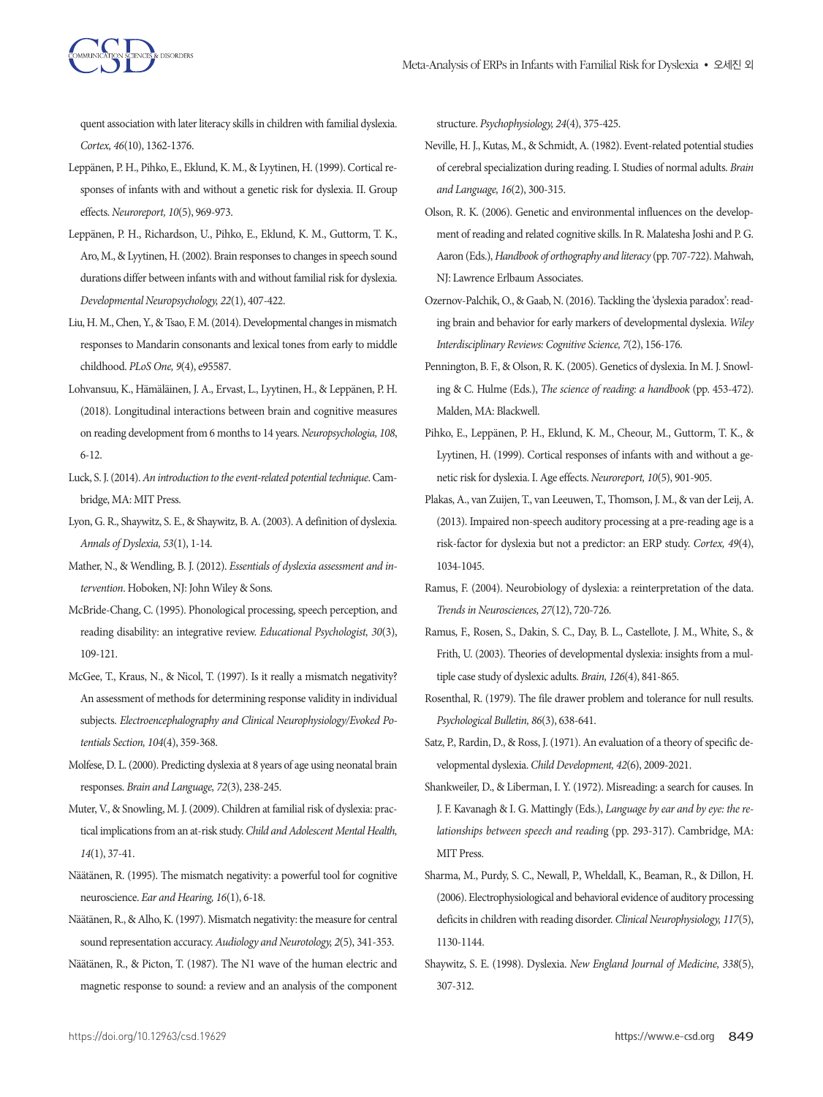quent association with later literacy skills in children with familial dyslexia. *Cortex, 46*(10), 1362-1376.

- Leppänen, P. H., Pihko, E., Eklund, K. M., & Lyytinen, H. (1999). Cortical responses of infants with and without a genetic risk for dyslexia. II. Group effects. *Neuroreport, 10*(5), 969-973.
- Leppänen, P. H., Richardson, U., Pihko, E., Eklund, K. M., Guttorm, T. K., Aro, M., & Lyytinen, H. (2002). Brain responses to changes in speech sound durations differ between infants with and without familial risk for dyslexia. *Developmental Neuropsychology, 22*(1), 407-422.
- Liu, H. M., Chen, Y., & Tsao, F. M. (2014). Developmental changes in mismatch responses to Mandarin consonants and lexical tones from early to middle childhood. *PLoS One, 9*(4), e95587.
- Lohvansuu, K., Hämäläinen, J. A., Ervast, L., Lyytinen, H., & Leppänen, P. H. (2018). Longitudinal interactions between brain and cognitive measures on reading development from 6 months to 14 years. *Neuropsychologia, 108*, 6-12.
- Luck, S. J. (2014). *An introduction to the event-related potential technique*. Cambridge, MA: MIT Press.
- Lyon, G. R., Shaywitz, S. E., & Shaywitz, B. A. (2003). A definition of dyslexia. *Annals of Dyslexia, 53*(1), 1-14.
- Mather, N., & Wendling, B. J. (2012). *Essentials of dyslexia assessment and intervention*. Hoboken, NJ: John Wiley & Sons.
- McBride-Chang, C. (1995). Phonological processing, speech perception, and reading disability: an integrative review. *Educational Psychologist, 30*(3), 109-121.
- McGee, T., Kraus, N., & Nicol, T. (1997). Is it really a mismatch negativity? An assessment of methods for determining response validity in individual subjects. *Electroencephalography and Clinical Neurophysiology/Evoked Potentials Section, 104*(4), 359-368.
- Molfese, D. L. (2000). Predicting dyslexia at 8 years of age using neonatal brain responses. *Brain and Language, 72*(3), 238-245.
- Muter, V., & Snowling, M. J. (2009). Children at familial risk of dyslexia: practical implications from an at‐risk study. *Child and Adolescent Mental Health, 14*(1), 37-41.
- Näätänen, R. (1995). The mismatch negativity: a powerful tool for cognitive neuroscience. *Ear and Hearing, 16*(1), 6-18.
- Näätänen, R., & Alho, K. (1997). Mismatch negativity: the measure for central sound representation accuracy. *Audiology and Neurotology, 2*(5), 341-353.
- Näätänen, R., & Picton, T. (1987). The N1 wave of the human electric and magnetic response to sound: a review and an analysis of the component

structure. *Psychophysiology, 24*(4), 375-425.

- Neville, H. J., Kutas, M., & Schmidt, A. (1982). Event-related potential studies of cerebral specialization during reading. I. Studies of normal adults. *Brain and Language, 16*(2), 300-315.
- Olson, R. K. (2006). Genetic and environmental influences on the development of reading and related cognitive skills. In R. Malatesha Joshi and P. G. Aaron (Eds.), *Handbook of orthography and literacy* (pp. 707-722). Mahwah, NJ: Lawrence Erlbaum Associates.
- Ozernov‐Palchik, O., & Gaab, N. (2016). Tackling the 'dyslexia paradox': reading brain and behavior for early markers of developmental dyslexia. *Wiley Interdisciplinary Reviews: Cognitive Science, 7*(2), 156-176.
- Pennington, B. F., & Olson, R. K. (2005). Genetics of dyslexia. In M. J. Snowling & C. Hulme (Eds.), *The science of reading: a handbook* (pp. 453-472). Malden, MA: Blackwell.
- Pihko, E., Leppänen, P. H., Eklund, K. M., Cheour, M., Guttorm, T. K., & Lyytinen, H. (1999). Cortical responses of infants with and without a genetic risk for dyslexia. I. Age effects. *Neuroreport, 10*(5), 901-905.
- Plakas, A., van Zuijen, T., van Leeuwen, T., Thomson, J. M., & van der Leij, A. (2013). Impaired non-speech auditory processing at a pre-reading age is a risk-factor for dyslexia but not a predictor: an ERP study. *Cortex, 49*(4), 1034-1045.
- Ramus, F. (2004). Neurobiology of dyslexia: a reinterpretation of the data. *Trends in Neurosciences, 27*(12), 720-726.
- Ramus, F., Rosen, S., Dakin, S. C., Day, B. L., Castellote, J. M., White, S., & Frith, U. (2003). Theories of developmental dyslexia: insights from a multiple case study of dyslexic adults. *Brain, 126*(4), 841-865.
- Rosenthal, R. (1979). The file drawer problem and tolerance for null results. *Psychological Bulletin, 86*(3), 638-641.
- Satz, P., Rardin, D., & Ross, J. (1971). An evaluation of a theory of specific developmental dyslexia. *Child Development, 42*(6), 2009-2021.
- Shankweiler, D., & Liberman, I. Y. (1972). Misreading: a search for causes. In J. F. Kavanagh & I. G. Mattingly (Eds.), *Language by ear and by eye: the relationships between speech and readin*g (pp. 293-317). Cambridge, MA: MIT Press.
- Sharma, M., Purdy, S. C., Newall, P., Wheldall, K., Beaman, R., & Dillon, H. (2006). Electrophysiological and behavioral evidence of auditory processing deficits in children with reading disorder. *Clinical Neurophysiology, 117*(5), 1130-1144.
- Shaywitz, S. E. (1998). Dyslexia. *New England Journal of Medicine, 338*(5), 307-312.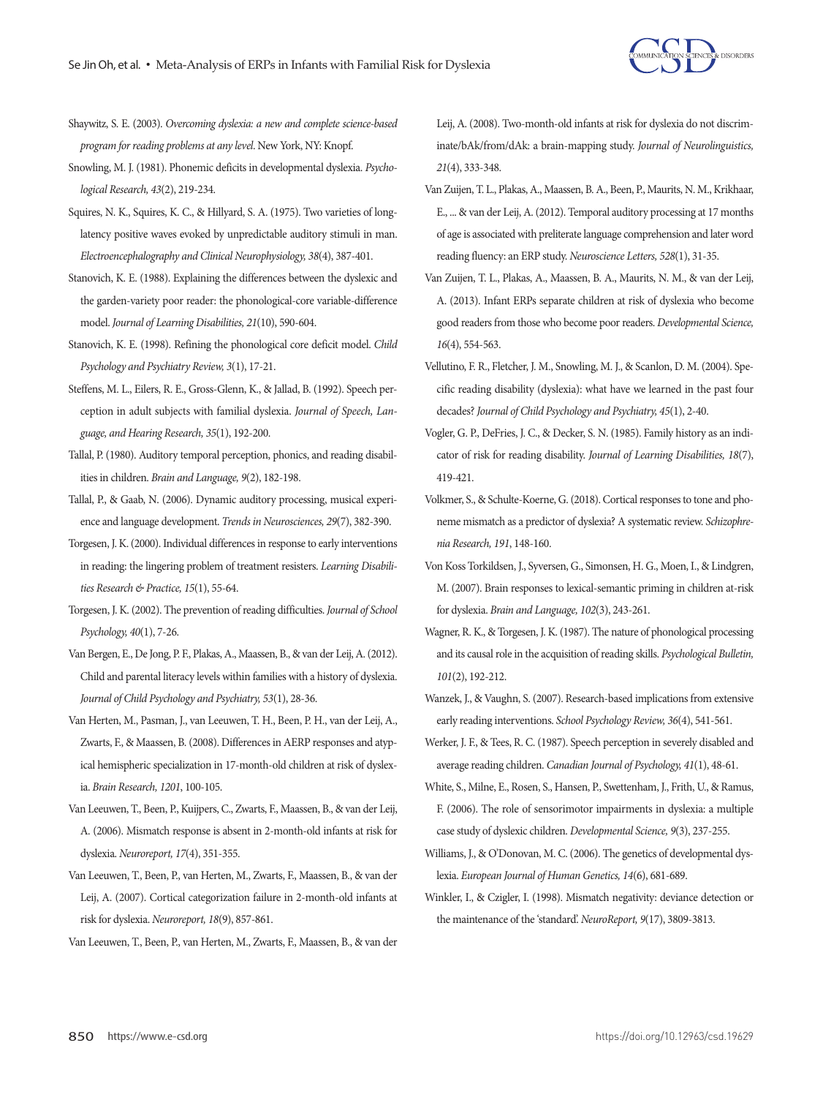

- Shaywitz, S. E. (2003). *Overcoming dyslexia: a new and complete science-based program for reading problems at any level*. New York, NY: Knopf.
- Snowling, M. J. (1981). Phonemic deficits in developmental dyslexia. *Psychological Research, 43*(2), 219-234.
- Squires, N. K., Squires, K. C., & Hillyard, S. A. (1975). Two varieties of longlatency positive waves evoked by unpredictable auditory stimuli in man. *Electroencephalography and Clinical Neurophysiology, 38*(4), 387-401.
- Stanovich, K. E. (1988). Explaining the differences between the dyslexic and the garden-variety poor reader: the phonological-core variable-difference model. *Journal of Learning Disabilities, 21*(10), 590-604.
- Stanovich, K. E. (1998). Refining the phonological core deficit model. *Child Psychology and Psychiatry Review, 3*(1), 17-21.
- Steffens, M. L., Eilers, R. E., Gross-Glenn, K., & Jallad, B. (1992). Speech perception in adult subjects with familial dyslexia. *Journal of Speech, Language, and Hearing Research, 35*(1), 192-200.
- Tallal, P. (1980). Auditory temporal perception, phonics, and reading disabilities in children. *Brain and Language, 9*(2), 182-198.
- Tallal, P., & Gaab, N. (2006). Dynamic auditory processing, musical experience and language development. *Trends in Neurosciences, 29*(7), 382-390.
- Torgesen, J. K. (2000). Individual differences in response to early interventions in reading: the lingering problem of treatment resisters. *Learning Disabilities Research & Practice, 15*(1), 55-64.
- Torgesen, J. K. (2002). The prevention of reading difficulties. *Journal of School Psychology, 40*(1), 7-26.
- Van Bergen, E., De Jong, P. F., Plakas, A., Maassen, B., & van der Leij, A. (2012). Child and parental literacy levels within families with a history of dyslexia. *Journal of Child Psychology and Psychiatry, 53*(1), 28-36.
- Van Herten, M., Pasman, J., van Leeuwen, T. H., Been, P. H., van der Leij, A., Zwarts, F., & Maassen, B. (2008). Differences in AERP responses and atypical hemispheric specialization in 17-month-old children at risk of dyslexia. *Brain Research, 1201*, 100-105.
- Van Leeuwen, T., Been, P., Kuijpers, C., Zwarts, F., Maassen, B., & van der Leij, A. (2006). Mismatch response is absent in 2-month-old infants at risk for dyslexia. *Neuroreport, 17*(4), 351-355.
- Van Leeuwen, T., Been, P., van Herten, M., Zwarts, F., Maassen, B., & van der Leij, A. (2007). Cortical categorization failure in 2-month-old infants at risk for dyslexia. *Neuroreport, 18*(9), 857-861.
- Van Leeuwen, T., Been, P., van Herten, M., Zwarts, F., Maassen, B., & van der

Leij, A. (2008). Two-month-old infants at risk for dyslexia do not discriminate/bAk/from/dAk: a brain-mapping study. *Journal of Neurolinguistics, 21*(4), 333-348.

- Van Zuijen, T. L., Plakas, A., Maassen, B. A., Been, P., Maurits, N. M., Krikhaar, E., ... & van der Leij, A. (2012). Temporal auditory processing at 17 months of age is associated with preliterate language comprehension and later word reading fluency: an ERP study. *Neuroscience Letters, 528*(1), 31-35.
- Van Zuijen, T. L., Plakas, A., Maassen, B. A., Maurits, N. M., & van der Leij, A. (2013). Infant ERPs separate children at risk of dyslexia who become good readers from those who become poor readers. *Developmental Science, 16*(4), 554-563.
- Vellutino, F. R., Fletcher, J. M., Snowling, M. J., & Scanlon, D. M. (2004). Specific reading disability (dyslexia): what have we learned in the past four decades? *Journal of Child Psychology and Psychiatry, 45*(1), 2-40.
- Vogler, G. P., DeFries, J. C., & Decker, S. N. (1985). Family history as an indicator of risk for reading disability. *Journal of Learning Disabilities, 18*(7), 419-421.
- Volkmer, S., & Schulte-Koerne, G. (2018). Cortical responses to tone and phoneme mismatch as a predictor of dyslexia? A systematic review. *Schizophrenia Research, 191*, 148-160.
- Von Koss Torkildsen, J., Syversen, G., Simonsen, H. G., Moen, I., & Lindgren, M. (2007). Brain responses to lexical-semantic priming in children at-risk for dyslexia. *Brain and Language, 102*(3), 243-261.
- Wagner, R. K., & Torgesen, J. K. (1987). The nature of phonological processing and its causal role in the acquisition of reading skills. *Psychological Bulletin, 101*(2), 192-212.
- Wanzek, J., & Vaughn, S. (2007). Research-based implications from extensive early reading interventions. *School Psychology Review, 36*(4), 541-561.
- Werker, J. F., & Tees, R. C. (1987). Speech perception in severely disabled and average reading children. *Canadian Journal of Psychology, 41*(1), 48-61.
- White, S., Milne, E., Rosen, S., Hansen, P., Swettenham, J., Frith, U., & Ramus, F. (2006). The role of sensorimotor impairments in dyslexia: a multiple case study of dyslexic children. *Developmental Science, 9*(3), 237-255.
- Williams, J., & O'Donovan, M. C. (2006). The genetics of developmental dyslexia. *European Journal of Human Genetics, 14*(6), 681-689.
- Winkler, I., & Czigler, I. (1998). Mismatch negativity: deviance detection or the maintenance of the 'standard'. *NeuroReport, 9*(17), 3809-3813.